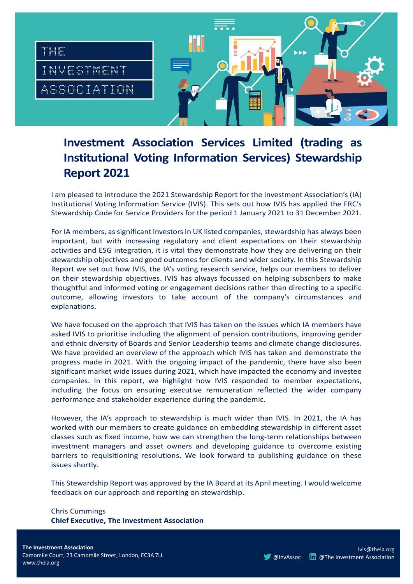

# **Investment Association Services Limited (trading as Institutional Voting Information Services) Stewardship Report 2021**

I am pleased to introduce the 2021 Stewardship Report for the Investment Association's (IA) Institutional Voting Information Service (IVIS). This sets out how IVIS has applied the FRC's Stewardship Code for Service Providers for the period 1 January 2021 to 31 December 2021.

For IA members, as significant investors in UK listed companies, stewardship has always been important, but with increasing regulatory and client expectations on their stewardship activities and ESG integration, it is vital they demonstrate how they are delivering on their stewardship objectives and good outcomes for clients and wider society. In this Stewardship Report we set out how IVIS, the IA's voting research service, helps our members to deliver on their stewardship objectives. IVIS has always focussed on helping subscribers to make thoughtful and informed voting or engagement decisions rather than directing to a specific outcome, allowing investors to take account of the company's circumstances and explanations.

We have focused on the approach that IVIS has taken on the issues which IA members have asked IVIS to prioritise including the alignment of pension contributions, improving gender and ethnic diversity of Boards and Senior Leadership teams and climate change disclosures. We have provided an overview of the approach which IVIS has taken and demonstrate the progress made in 2021. With the ongoing impact of the pandemic, there have also been significant market wide issues during 2021, which have impacted the economy and investee companies. In this report, we highlight how IVIS responded to member expectations, including the focus on ensuring executive remuneration reflected the wider company performance and stakeholder experience during the pandemic.

However, the IA's approach to stewardship is much wider than IVIS. In 2021, the IA has worked with our members to create guidance on embedding stewardship in different asset classes such as fixed income, how we can strengthen the long-term relationships between investment managers and asset owners and developing guidance to overcome existing barriers to requisitioning resolutions. We look forward to publishing guidance on these issues shortly.

This Stewardship Report was approved by the IA Board at its April meeting. I would welcome feedback on our approach and reporting on stewardship.

Chris Cummings **Chief Executive, The Investment Association**

ivis@theia.org **[@InvAssoc](https://twitter.com/InvAssoc) In @The Investment [Association](https://www.linkedin.com/company/investment-management-association/?viewAsMember=true)**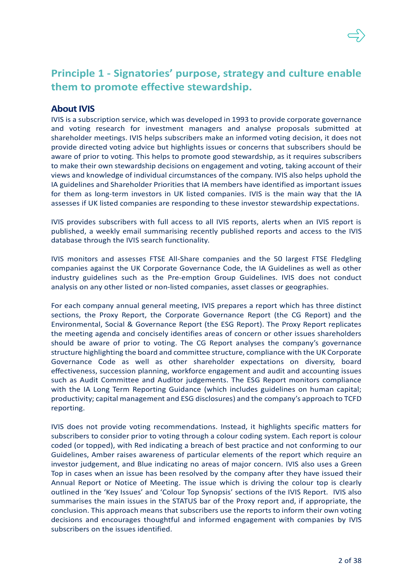

# **Principle 1 - Signatories' purpose, strategy and culture enable them to promote effective stewardship.**

## **About IVIS**

IVIS is a subscription service, which was developed in 1993 to provide corporate governance and voting research for investment managers and analyse proposals submitted at shareholder meetings. IVIS helps subscribers make an informed voting decision, it does not provide directed voting advice but highlights issues or concerns that subscribers should be aware of prior to voting. This helps to promote good stewardship, as it requires subscribers to make their own stewardship decisions on engagement and voting, taking account of their views and knowledge of individual circumstances of the company. IVIS also helps uphold the IA guidelines and Shareholder Priorities that IA members have identified as important issues for them as long-term investors in UK listed companies. IVIS is the main way that the IA assesses if UK listed companies are responding to these investor stewardship expectations.

IVIS provides subscribers with full access to all IVIS reports, alerts when an IVIS report is published, a weekly email summarising recently published reports and access to the IVIS database through the IVIS search functionality.

IVIS monitors and assesses FTSE All-Share companies and the 50 largest FTSE Fledgling companies against the UK Corporate Governance Code, the IA Guidelines as well as other industry guidelines such as the Pre-emption Group Guidelines. IVIS does not conduct analysis on any other listed or non-listed companies, asset classes or geographies.

For each company annual general meeting, IVIS prepares a report which has three distinct sections, the Proxy Report, the Corporate Governance Report (the CG Report) and the Environmental, Social & Governance Report (the ESG Report). The Proxy Report replicates the meeting agenda and concisely identifies areas of concern or other issues shareholders should be aware of prior to voting. The CG Report analyses the company's governance structure highlighting the board and committee structure, compliance with the UK Corporate Governance Code as well as other shareholder expectations on diversity, board effectiveness, succession planning, workforce engagement and audit and accounting issues such as Audit Committee and Auditor judgements. The ESG Report monitors compliance with the IA [Long Term Reporting Guidance](https://ivis.co.uk/media/12519/Long-Term-Reporting-Guidance.pdf) (which includes guidelines on human capital; productivity; capital management and ESG disclosures) and the company's approach to TCFD reporting.

IVIS does not provide voting recommendations. Instead, it highlights specific matters for subscribers to consider prior to voting through a colour coding system. Each report is colour coded (or topped), with Red indicating a breach of best practice and not conforming to our Guidelines, Amber raises awareness of particular elements of the report which require an investor judgement, and Blue indicating no areas of major concern. IVIS also uses a Green Top in cases when an issue has been resolved by the company after they have issued their Annual Report or Notice of Meeting. The issue which is driving the colour top is clearly outlined in the 'Key Issues' and 'Colour Top Synopsis' sections of the IVIS Report. IVIS also summarises the main issues in the STATUS bar of the Proxy report and, if appropriate, the conclusion. This approach means that subscribers use the reports to inform their own voting decisions and encourages thoughtful and informed engagement with companies by IVIS subscribers on the issues identified.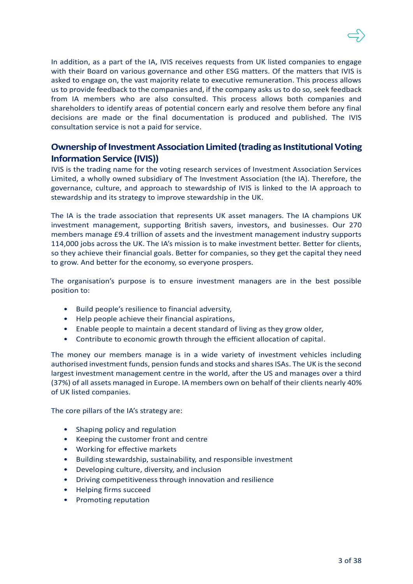In addition, as a part of the IA, IVIS receives requests from UK listed companies to engage with their Board on various governance and other ESG matters. Of the matters that IVIS is asked to engage on, the vast majority relate to executive remuneration. This process allows us to provide feedback to the companies and, if the company asks us to do so, seek feedback from IA members who are also consulted. This process allows both companies and shareholders to identify areas of potential concern early and resolve them before any final decisions are made or the final documentation is produced and published. The IVIS consultation service is not a paid for service.

## **Ownership of Investment Association Limited (trading as Institutional Voting Information Service (IVIS))**

IVIS is the trading name for the voting research services of Investment Association Services Limited, a wholly owned subsidiary of The Investment Association (the IA). Therefore, the governance, culture, and approach to stewardship of IVIS is linked to the IA approach to stewardship and its strategy to improve stewardship in the UK.

The IA is the trade association that represents UK asset managers. The IA champions UK investment management, supporting British savers, investors, and businesses. Our 270 members manage £9.4 trillion of assets and the investment management industry supports 114,000 jobs across the UK. The IA's mission is to make investment better. Better for clients, so they achieve their financial goals. Better for companies, so they get the capital they need to grow. And better for the economy, so everyone prospers.

The organisation's purpose is to ensure investment managers are in the best possible position to:

- Build people's resilience to financial adversity,
- Help people achieve their financial aspirations,
- Enable people to maintain a decent standard of living as they grow older,
- Contribute to economic growth through the efficient allocation of capital.

The money our members manage is in a wide variety of investment vehicles including authorised investment funds, pension funds and stocks and shares ISAs. The UK is the second largest investment management centre in the world, after the US and manages over a third (37%) of all assets managed in Europe. IA members own on behalf of their clients nearly 40% of UK listed companies.

The core pillars of the IA's strategy are:

- Shaping policy and regulation
- Keeping the customer front and centre
- Working for effective markets
- Building stewardship, sustainability, and responsible investment
- Developing culture, diversity, and inclusion
- Driving competitiveness through innovation and resilience
- Helping firms succeed
- Promoting reputation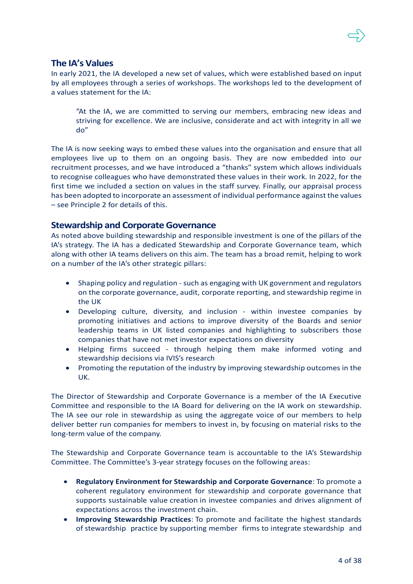

### **The IA's Values**

In early 2021, the IA developed a new set of values, which were established based on input by all employees through a series of workshops. The workshops led to the development of a values statement for the IA:

"At the IA, we are committed to serving our members, embracing new ideas and striving for excellence. We are inclusive, considerate and act with integrity in all we do"

The IA is now seeking ways to embed these values into the organisation and ensure that all employees live up to them on an ongoing basis. They are now embedded into our recruitment processes, and we have introduced a "thanks" system which allows individuals to recognise colleagues who have demonstrated these values in their work. In 2022, for the first time we included a section on values in the staff survey. Finally, our appraisal process has been adopted to incorporate an assessment of individual performance against the values – see Principle 2 for details of this.

### **Stewardship and Corporate Governance**

As noted above building stewardship and responsible investment is one of the pillars of the IA's strategy. The IA has a dedicated Stewardship and Corporate Governance team, which along with other IA teams delivers on this aim. The team has a broad remit, helping to work on a number of the IA's other strategic pillars:

- Shaping policy and regulation such as engaging with UK government and regulators on the corporate governance, audit, corporate reporting, and stewardship regime in the UK
- Developing culture, diversity, and inclusion within investee companies by promoting initiatives and actions to improve diversity of the Boards and senior leadership teams in UK listed companies and highlighting to subscribers those companies that have not met investor expectations on diversity
- Helping firms succeed through helping them make informed voting and stewardship decisions via IVIS's research
- Promoting the reputation of the industry by improving stewardship outcomes in the UK.

The Director of Stewardship and Corporate Governance is a member of the IA Executive Committee and responsible to the IA Board for delivering on the IA work on stewardship. The IA see our role in stewardship as using the aggregate voice of our members to help deliver better run companies for members to invest in, by focusing on material risks to the long-term value of the company.

The Stewardship and Corporate Governance team is accountable to the IA's Stewardship Committee. The Committee's 3-year strategy focuses on the following areas:

- **Regulatory Environment for Stewardship and Corporate Governance**: To promote a coherent regulatory environment for stewardship and corporate governance that supports sustainable value creation in investee companies and drives alignment of expectations across the investment chain.
- **Improving Stewardship Practices**: To promote and facilitate the highest standards of stewardship practice by supporting member firms to integrate stewardship and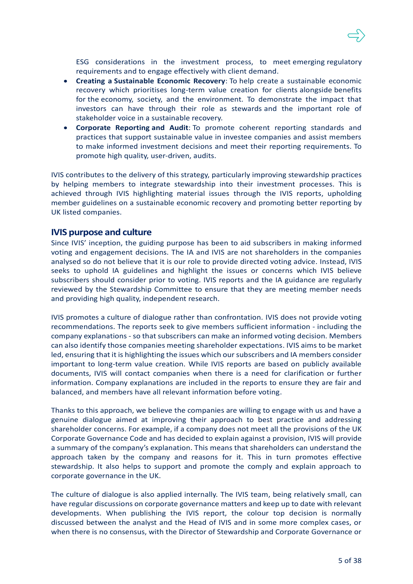ESG considerations in the investment process, to meet emerging regulatory requirements and to engage effectively with client demand.

- **Creating a Sustainable Economic Recovery**: To help create a sustainable economic recovery which prioritises long-term value creation for clients alongside benefits for the economy, society, and the environment. To demonstrate the impact that investors can have through their role as stewards and the important role of stakeholder voice in a sustainable recovery.
- **Corporate Reporting and Audit**: To promote coherent reporting standards and practices that support sustainable value in investee companies and assist members to make informed investment decisions and meet their reporting requirements. To promote high quality, user-driven, audits.

IVIS contributes to the delivery of this strategy, particularly improving stewardship practices by helping members to integrate stewardship into their investment processes. This is achieved through IVIS highlighting material issues through the IVIS reports, upholding member guidelines on a sustainable economic recovery and promoting better reporting by UK listed companies.

### **IVIS purpose and culture**

Since IVIS' inception, the guiding purpose has been to aid subscribers in making informed voting and engagement decisions. The IA and IVIS are not shareholders in the companies analysed so do not believe that it is our role to provide directed voting advice. Instead, IVIS seeks to uphold IA guidelines and highlight the issues or concerns which IVIS believe subscribers should consider prior to voting. IVIS reports and the IA guidance are regularly reviewed by the Stewardship Committee to ensure that they are meeting member needs and providing high quality, independent research.

IVIS promotes a culture of dialogue rather than confrontation. IVIS does not provide voting recommendations. The reports seek to give members sufficient information - including the company explanations - so that subscribers can make an informed voting decision. Members can also identify those companies meeting shareholder expectations. IVIS aims to be market led, ensuring that it is highlighting the issues which our subscribers and IA members consider important to long-term value creation. While IVIS reports are based on publicly available documents, IVIS will contact companies when there is a need for clarification or further information. Company explanations are included in the reports to ensure they are fair and balanced, and members have all relevant information before voting.

Thanks to this approach, we believe the companies are willing to engage with us and have a genuine dialogue aimed at improving their approach to best practice and addressing shareholder concerns. For example, if a company does not meet all the provisions of the UK Corporate Governance Code and has decided to explain against a provision, IVIS will provide a summary of the company's explanation. This means that shareholders can understand the approach taken by the company and reasons for it. This in turn promotes effective stewardship. It also helps to support and promote the comply and explain approach to corporate governance in the UK.

The culture of dialogue is also applied internally. The IVIS team, being relatively small, can have regular discussions on corporate governance matters and keep up to date with relevant developments. When publishing the IVIS report, the colour top decision is normally discussed between the analyst and the Head of IVIS and in some more complex cases, or when there is no consensus, with the Director of Stewardship and Corporate Governance or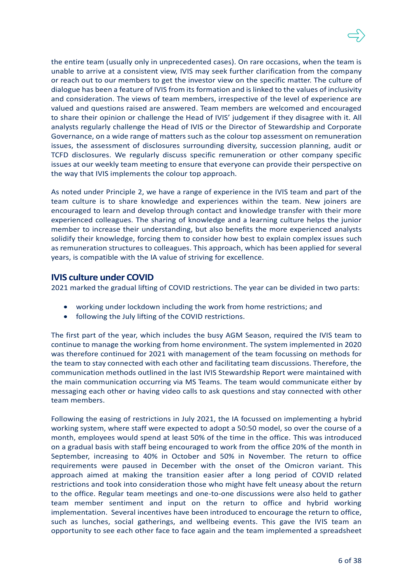the entire team (usually only in unprecedented cases). On rare occasions, when the team is unable to arrive at a consistent view, IVIS may seek further clarification from the company or reach out to our members to get the investor view on the specific matter. The culture of dialogue has been a feature of IVIS from its formation and is linked to the values of inclusivity and consideration. The views of team members, irrespective of the level of experience are valued and questions raised are answered. Team members are welcomed and encouraged to share their opinion or challenge the Head of IVIS' judgement if they disagree with it. All analysts regularly challenge the Head of IVIS or the Director of Stewardship and Corporate Governance, on a wide range of matters such as the colour top assessment on remuneration issues, the assessment of disclosures surrounding diversity, succession planning, audit or TCFD disclosures. We regularly discuss specific remuneration or other company specific issues at our weekly team meeting to ensure that everyone can provide their perspective on the way that IVIS implements the colour top approach.

As noted under Principle 2, we have a range of experience in the IVIS team and part of the team culture is to share knowledge and experiences within the team. New joiners are encouraged to learn and develop through contact and knowledge transfer with their more experienced colleagues. The sharing of knowledge and a learning culture helps the junior member to increase their understanding, but also benefits the more experienced analysts solidify their knowledge, forcing them to consider how best to explain complex issues such as remuneration structures to colleagues. This approach, which has been applied for several years, is compatible with the IA value of striving for excellence.

### **IVIS culture under COVID**

2021 marked the gradual lifting of COVID restrictions. The year can be divided in two parts:

- working under lockdown including the work from home restrictions; and
- following the July lifting of the COVID restrictions.

The first part of the year, which includes the busy AGM Season, required the IVIS team to continue to manage the working from home environment. The system implemented in 2020 was therefore continued for 2021 with management of the team focussing on methods for the team to stay connected with each other and facilitating team discussions. Therefore, the communication methods outlined in the last IVIS Stewardship Report were maintained with the main communication occurring via MS Teams. The team would communicate either by messaging each other or having video calls to ask questions and stay connected with other team members.

Following the easing of restrictions in July 2021, the IA focussed on implementing a hybrid working system, where staff were expected to adopt a 50:50 model, so over the course of a month, employees would spend at least 50% of the time in the office. This was introduced on a gradual basis with staff being encouraged to work from the office 20% of the month in September, increasing to 40% in October and 50% in November. The return to office requirements were paused in December with the onset of the Omicron variant. This approach aimed at making the transition easier after a long period of COVID related restrictions and took into consideration those who might have felt uneasy about the return to the office. Regular team meetings and one-to-one discussions were also held to gather team member sentiment and input on the return to office and hybrid working implementation. Several incentives have been introduced to encourage the return to office, such as lunches, social gatherings, and wellbeing events. This gave the IVIS team an opportunity to see each other face to face again and the team implemented a spreadsheet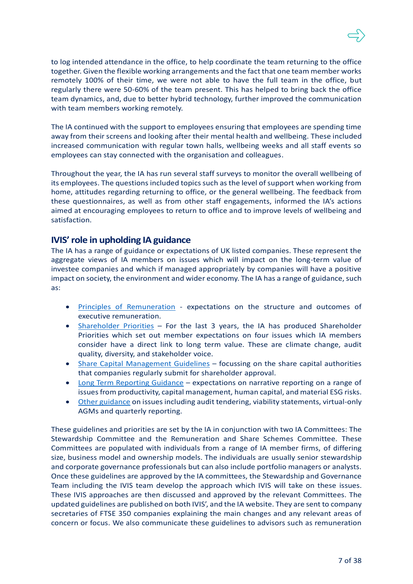

to log intended attendance in the office, to help coordinate the team returning to the office together. Given the flexible working arrangements and the fact that one team member works remotely 100% of their time, we were not able to have the full team in the office, but regularly there were 50-60% of the team present. This has helped to bring back the office team dynamics, and, due to better hybrid technology, further improved the communication with team members working remotely.

The IA continued with the support to employees ensuring that employees are spending time away from their screens and looking after their mental health and wellbeing. These included increased communication with regular town halls, wellbeing weeks and all staff events so employees can stay connected with the organisation and colleagues.

Throughout the year, the IA has run several staff surveys to monitor the overall wellbeing of its employees. The questions included topics such as the level of support when working from home, attitudes regarding returning to office, or the general wellbeing. The feedback from these questionnaires, as well as from other staff engagements, informed the IA's actions aimed at encouraging employees to return to office and to improve levels of wellbeing and satisfaction.

### **IVIS' role in upholding IA guidance**

The IA has a range of guidance or expectations of UK listed companies. These represent the aggregate views of IA members on issues which will impact on the long-term value of investee companies and which if managed appropriately by companies will have a positive impact on society, the environment and wider economy. The IA has a range of guidance, such as:

- [Principles of Remuneration](https://www.ivis.co.uk/media/13894/principles-of-remuneration-2022.pdf) expectations on the structure and outcomes of executive remuneration.
- [Shareholder](https://www.ivis.co.uk/media/13898/ia-shareholder-priorities-and-ivis-approach-for-2022.pdf) Priorities For the last 3 years, the IA has produced Shareholder Priorities which set out member expectations on four issues which IA members consider have a direct link to long term value. These are climate change, audit quality, diversity, and stakeholder voice.
- [Share Capital Management Guidelines](https://ivis.co.uk/media/12250/Share-Capital-Management-Guidelines-July-2016.pdf) focussing on the share capital authorities that companies regularly submit for shareholder approval.
- [Long Term Reporting Guidance](https://ivis.co.uk/media/12519/Long-Term-Reporting-Guidance.pdf) expectations on narrative reporting on a range of issues from productivity, capital management, human capital, and material ESG risks.
- Other [guidance](https://ivis.co.uk/guidelines/) on issues including audit tendering, viability statements, virtual-only AGMs and quarterly reporting.

These guidelines and priorities are set by the IA in conjunction with two IA Committees: The Stewardship Committee and the Remuneration and Share Schemes Committee. These Committees are populated with individuals from a range of IA member firms, of differing size, business model and ownership models. The individuals are usually senior stewardship and corporate governance professionals but can also include portfolio managers or analysts. Once these guidelines are approved by the IA committees, the Stewardship and Governance Team including the IVIS team develop the approach which IVIS will take on these issues. These IVIS approaches are then discussed and approved by the relevant Committees. The updated guidelines are published on both IVIS', and the IA website. They are sent to company secretaries of FTSE 350 companies explaining the main changes and any relevant areas of concern or focus. We also communicate these guidelines to advisors such as remuneration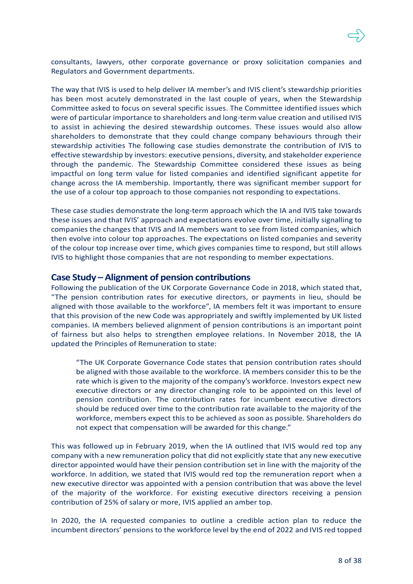

consultants, lawyers, other corporate governance or proxy solicitation companies and Regulators and Government departments.

The way that IVIS is used to help deliver IA member's and IVIS client's stewardship priorities has been most acutely demonstrated in the last couple of years, when the Stewardship Committee asked to focus on several specific issues. The Committee identified issues which were of particular importance to shareholders and long-term value creation and utilised IVIS to assist in achieving the desired stewardship outcomes. These issues would also allow shareholders to demonstrate that they could change company behaviours through their stewardship activities The following case studies demonstrate the contribution of IVIS to effective stewardship by investors: executive pensions, diversity, and stakeholder experience through the pandemic. The Stewardship Committee considered these issues as being impactful on long term value for listed companies and identified significant appetite for change across the IA membership. Importantly, there was significant member support for the use of a colour top approach to those companies not responding to expectations.

These case studies demonstrate the long-term approach which the IA and IVIS take towards these issues and that IVIS' approach and expectations evolve over time, initially signalling to companies the changes that IVIS and IA members want to see from listed companies, which then evolve into colour top approaches. The expectations on listed companies and severity of the colour top increase over time, which gives companies time to respond, but still allows IVIS to highlight those companies that are not responding to member expectations.

### **Case Study – Alignment of pension contributions**

Following the publication of the UK Corporate Governance Code in 2018, which stated that, "The pension contribution rates for executive directors, or payments in lieu, should be aligned with those available to the workforce", IA members felt it was important to ensure that this provision of the new Code was appropriately and swiftly implemented by UK listed companies. IA members believed alignment of pension contributions is an important point of fairness but also helps to strengthen employee relations. In November 2018, the IA updated the Principles of Remuneration to state:

"The UK Corporate Governance Code states that pension contribution rates should be aligned with those available to the workforce. IA members consider this to be the rate which is given to the majority of the company's workforce. Investors expect new executive directors or any director changing role to be appointed on this level of pension contribution. The contribution rates for incumbent executive directors should be reduced over time to the contribution rate available to the majority of the workforce, members expect this to be achieved as soon as possible. Shareholders do not expect that compensation will be awarded for this change."

This was followed up in February 2019, when the IA outlined that IVIS would red top any company with a new remuneration policy that did not explicitly state that any new executive director appointed would have their pension contribution set in line with the majority of the workforce. In addition, we stated that IVIS would red top the remuneration report when a new executive director was appointed with a pension contribution that was above the level of the majority of the workforce. For existing executive directors receiving a pension contribution of 25% of salary or more, IVIS applied an amber top.

In 2020, the IA requested companies to outline a credible action plan to reduce the incumbent directors' pensions to the workforce level by the end of 2022 and IVIS red topped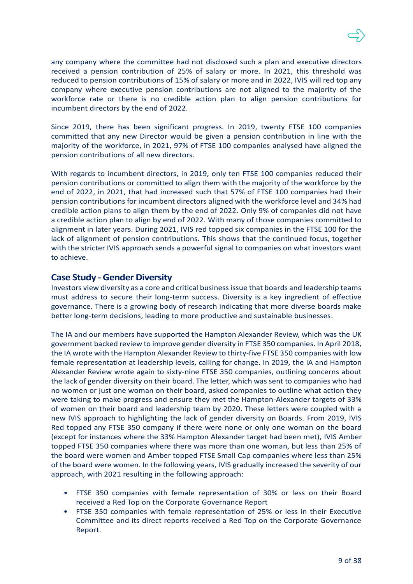any company where the committee had not disclosed such a plan and executive directors received a pension contribution of 25% of salary or more. In 2021, this threshold was reduced to pension contributions of 15% of salary or more and in 2022, IVIS will red top any company where executive pension contributions are not aligned to the majority of the workforce rate or there is no credible action plan to align pension contributions for incumbent directors by the end of 2022.

Since 2019, there has been significant progress. In 2019, twenty FTSE 100 companies committed that any new Director would be given a pension contribution in line with the majority of the workforce, in 2021, 97% of FTSE 100 companies analysed have aligned the pension contributions of all new directors.

With regards to incumbent directors, in 2019, only ten FTSE 100 companies reduced their pension contributions or committed to align them with the majority of the workforce by the end of 2022, in 2021, that had increased such that 57% of FTSE 100 companies had their pension contributions for incumbent directors aligned with the workforce level and 34% had credible action plans to align them by the end of 2022. Only 9% of companies did not have a credible action plan to align by end of 2022. With many of those companies committed to alignment in later years. During 2021, IVIS red topped six companies in the FTSE 100 for the lack of alignment of pension contributions. This shows that the continued focus, together with the stricter IVIS approach sends a powerful signal to companies on what investors want to achieve.

### **Case Study -Gender Diversity**

Investors view diversity as a core and critical business issue that boards and leadership teams must address to secure their long-term success. Diversity is a key ingredient of effective governance. There is a growing body of research indicating that more diverse boards make better long-term decisions, leading to more productive and sustainable businesses.

The IA and our members have supported the Hampton Alexander Review, which was the UK government backed review to improve gender diversity in FTSE 350 companies. In April 2018, the IA wrote with the Hampton Alexander Review to thirty-five FTSE 350 companies with low female representation at leadership levels, calling for change. In 2019, the IA and Hampton Alexander Review wrote again to sixty-nine FTSE 350 companies, outlining concerns about the lack of gender diversity on their board. The letter, which was sent to companies who had no women or just one woman on their board, asked companies to outline what action they were taking to make progress and ensure they met the Hampton-Alexander targets of 33% of women on their board and leadership team by 2020. These letters were coupled with a new IVIS approach to highlighting the lack of gender diversity on Boards. From 2019, IVIS Red topped any FTSE 350 company if there were none or only one woman on the board (except for instances where the 33% Hampton Alexander target had been met), IVIS Amber topped FTSE 350 companies where there was more than one woman, but less than 25% of the board were women and Amber topped FTSE Small Cap companies where less than 25% of the board were women. In the following years, IVIS gradually increased the severity of our approach, with 2021 resulting in the following approach:

- FTSE 350 companies with female representation of 30% or less on their Board received a Red Top on the Corporate Governance Report
- FTSE 350 companies with female representation of 25% or less in their Executive Committee and its direct reports received a Red Top on the Corporate Governance Report.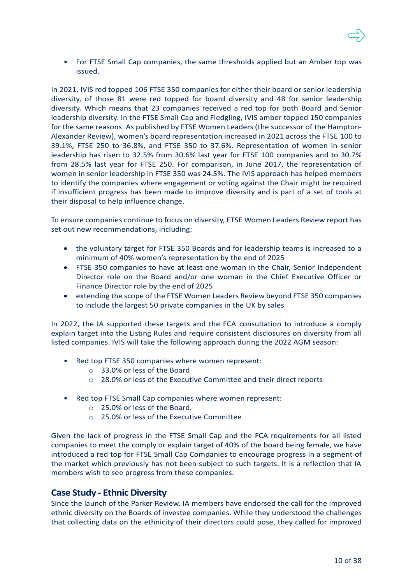• For FTSE Small Cap companies, the same thresholds applied but an Amber top was issued.

In 2021, IVIS red topped 106 FTSE 350 companies for either their board or senior leadership diversity, of those 81 were red topped for board diversity and 48 for senior leadership diversity. Which means that 23 companies received a red top for both Board and Senior leadership diversity. In the FTSE Small Cap and Fledgling, IVIS amber topped 150 companies for the same reasons. As published by FTSE Women Leaders (the successor of the Hampton-Alexander Review), women's board representation increased in 2021 across the FTSE 100 to 39.1%, FTSE 250 to 36.8%, and FTSE 350 to 37.6%. Representation of women in senior leadership has risen to 32.5% from 30.6% last year for FTSE 100 companies and to 30.7% from 28.5% last year for FTSE 250. For comparison, in June 2017, the representation of women in senior leadership in FTSE 350 was 24.5%. The IVIS approach has helped members to identify the companies where engagement or voting against the Chair might be required if insufficient progress has been made to improve diversity and is part of a set of tools at their disposal to help influence change.

To ensure companies continue to focus on diversity, FTSE Women Leaders Review report has set out new recommendations, including:

- the voluntary target for FTSE 350 Boards and for leadership teams is increased to a minimum of 40% women's representation by the end of 2025
- FTSE 350 companies to have at least one woman in the Chair, Senior Independent Director role on the Board and/or one woman in the Chief Executive Officer or Finance Director role by the end of 2025
- extending the scope of the FTSE Women Leaders Review beyond FTSE 350 companies to include the largest 50 private companies in the UK by sales

In 2022, the IA supported these targets and the FCA consultation to introduce a comply explain target into the Listing Rules and require consistent disclosures on diversity from all listed companies. IVIS will take the following approach during the 2022 AGM season:

- Red top FTSE 350 companies where women represent:
	- o 33.0% or less of the Board
	- o 28.0% or less of the Executive Committee and their direct reports
- Red top FTSE Small Cap companies where women represent:
	- o 25.0% or less of the Board.
	- o 25.0% or less of the Executive Committee

Given the lack of progress in the FTSE Small Cap and the FCA requirements for all listed companies to meet the comply or explain target of 40% of the board being female, we have introduced a red top for FTSE Small Cap Companies to encourage progress in a segment of the market which previously has not been subject to such targets. It is a reflection that IA members wish to see progress from these companies.

## **Case Study - Ethnic Diversity**

Since the launch of the Parker Review, IA members have endorsed the call for the improved ethnic diversity on the Boards of investee companies. While they understood the challenges that collecting data on the ethnicity of their directors could pose, they called for improved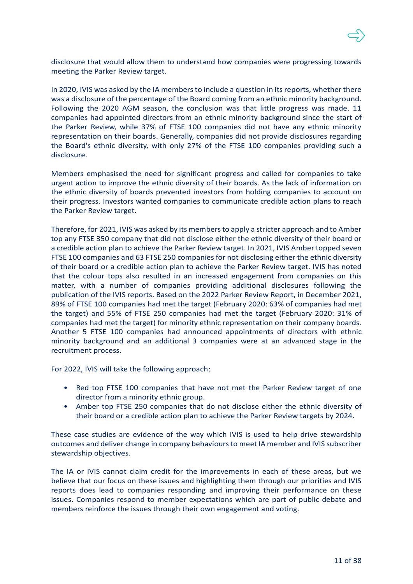

disclosure that would allow them to understand how companies were progressing towards meeting the Parker Review target.

In 2020, IVIS was asked by the IA members to include a question in its reports, whether there was a disclosure of the percentage of the Board coming from an ethnic minority background. Following the 2020 AGM season, the conclusion was that little progress was made. 11 companies had appointed directors from an ethnic minority background since the start of the Parker Review, while 37% of FTSE 100 companies did not have any ethnic minority representation on their boards. Generally, companies did not provide disclosures regarding the Board's ethnic diversity, with only 27% of the FTSE 100 companies providing such a disclosure.

Members emphasised the need for significant progress and called for companies to take urgent action to improve the ethnic diversity of their boards. As the lack of information on the ethnic diversity of boards prevented investors from holding companies to account on their progress. Investors wanted companies to communicate credible action plans to reach the Parker Review target.

Therefore, for 2021, IVIS was asked by its members to apply a stricter approach and to Amber top any FTSE 350 company that did not disclose either the ethnic diversity of their board or a credible action plan to achieve the Parker Review target. In 2021, IVIS Amber topped seven FTSE 100 companies and 63 FTSE 250 companies for not disclosing either the ethnic diversity of their board or a credible action plan to achieve the Parker Review target. IVIS has noted that the colour tops also resulted in an increased engagement from companies on this matter, with a number of companies providing additional disclosures following the publication of the IVIS reports. Based on the 2022 Parker Review Report, in December 2021, 89% of FTSE 100 companies had met the target (February 2020: 63% of companies had met the target) and 55% of FTSE 250 companies had met the target (February 2020: 31% of companies had met the target) for minority ethnic representation on their company boards. Another 5 FTSE 100 companies had announced appointments of directors with ethnic minority background and an additional 3 companies were at an advanced stage in the recruitment process.

For 2022, IVIS will take the following approach:

- Red top FTSE 100 companies that have not met the Parker Review target of one director from a minority ethnic group.
- Amber top FTSE 250 companies that do not disclose either the ethnic diversity of their board or a credible action plan to achieve the Parker Review targets by 2024.

These case studies are evidence of the way which IVIS is used to help drive stewardship outcomes and deliver change in company behaviours to meet IA member and IVIS subscriber stewardship objectives.

The IA or IVIS cannot claim credit for the improvements in each of these areas, but we believe that our focus on these issues and highlighting them through our priorities and IVIS reports does lead to companies responding and improving their performance on these issues. Companies respond to member expectations which are part of public debate and members reinforce the issues through their own engagement and voting.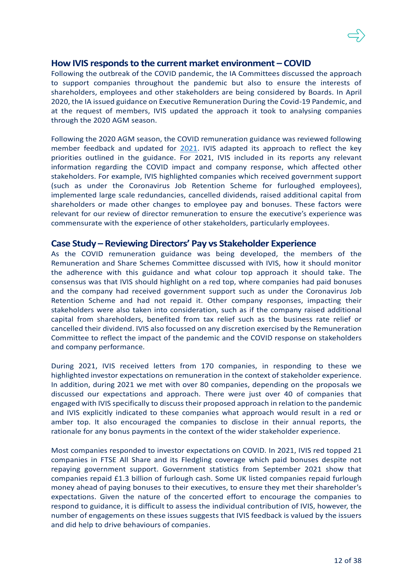### **How IVIS responds to the current market environment – COVID**

Following the outbreak of the COVID pandemic, the IA Committees discussed the approach to support companies throughout the pandemic but also to ensure the interests of shareholders, employees and other stakeholders are being considered by Boards. In April 2020, the IA issued guidance o[n Executive Remuneration During the Covid-19 Pandemic,](https://ivis.co.uk/media/13883/remuneration-and-covid-19.pdf) and at the request of members, IVIS updated the approach it took to analysing companies through the 2020 AGM season.

Following the 2020 AGM season, the COVID remuneration guidance was reviewed following member feedback and updated for [2021.](https://ivis.co.uk/media/13889/remuneration-and-covid-19-for-2021-feb-update.pdf) IVIS adapted its approach to reflect the key priorities outlined in the guidance. For 2021, IVIS included in its reports any relevant information regarding the COVID impact and company response, which affected other stakeholders. For example, IVIS highlighted companies which received government support (such as under the Coronavirus Job Retention Scheme for furloughed employees), implemented large scale redundancies, cancelled dividends, raised additional capital from shareholders or made other changes to employee pay and bonuses. These factors were relevant for our review of director remuneration to ensure the executive's experience was commensurate with the experience of other stakeholders, particularly employees.

### **Case Study – Reviewing Directors' Pay vs Stakeholder Experience**

As the COVID remuneration guidance was being developed, the members of the Remuneration and Share Schemes Committee discussed with IVIS, how it should monitor the adherence with this guidance and what colour top approach it should take. The consensus was that IVIS should highlight on a red top, where companies had paid bonuses and the company had received government support such as under the Coronavirus Job Retention Scheme and had not repaid it. Other company responses, impacting their stakeholders were also taken into consideration, such as if the company raised additional capital from shareholders, benefited from tax relief such as the business rate relief or cancelled their dividend. IVIS also focussed on any discretion exercised by the Remuneration Committee to reflect the impact of the pandemic and the COVID response on stakeholders and company performance.

During 2021, IVIS received letters from 170 companies, in responding to these we highlighted investor expectations on remuneration in the context of stakeholder experience. In addition, during 2021 we met with over 80 companies, depending on the proposals we discussed our expectations and approach. There were just over 40 of companies that engaged with IVIS specifically to discuss their proposed approach in relation to the pandemic and IVIS explicitly indicated to these companies what approach would result in a red or amber top. It also encouraged the companies to disclose in their annual reports, the rationale for any bonus payments in the context of the wider stakeholder experience.

Most companies responded to investor expectations on COVID. In 2021, IVIS red topped 21 companies in FTSE All Share and its Fledgling coverage which paid bonuses despite not repaying government support. Government statistics from September 2021 show that companies repaid £1.3 billion of furlough cash. Some UK listed companies repaid furlough money ahead of paying bonuses to their executives, to ensure they met their shareholder's expectations. Given the nature of the concerted effort to encourage the companies to respond to guidance, it is difficult to assess the individual contribution of IVIS, however, the number of engagements on these issues suggests that IVIS feedback is valued by the issuers and did help to drive behaviours of companies.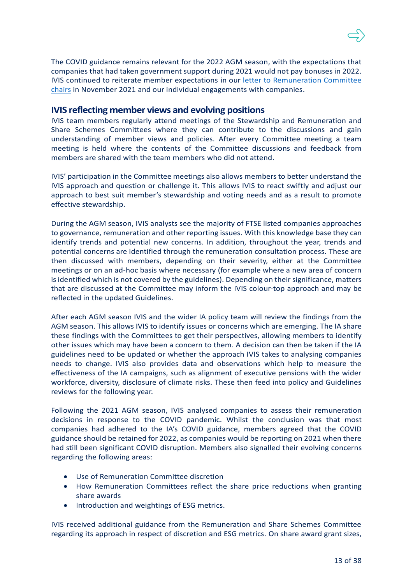The COVID guidance remains relevant for the 2022 AGM season, with the expectations that companies that had taken government support during 2021 would not pay bonuses in 2022. IVIS continued to reiterate member expectations in our [letter to Remuneration Committee](https://ivis.co.uk/media/13895/remuneration-committee-chair-letter-final.pdf)  [chairs](https://ivis.co.uk/media/13895/remuneration-committee-chair-letter-final.pdf) in November 2021 and our individual engagements with companies.

### **IVIS reflecting member views and evolving positions**

IVIS team members regularly attend meetings of the Stewardship and Remuneration and Share Schemes Committees where they can contribute to the discussions and gain understanding of member views and policies. After every Committee meeting a team meeting is held where the contents of the Committee discussions and feedback from members are shared with the team members who did not attend.

IVIS' participation in the Committee meetings also allows members to better understand the IVIS approach and question or challenge it. This allows IVIS to react swiftly and adjust our approach to best suit member's stewardship and voting needs and as a result to promote effective stewardship.

During the AGM season, IVIS analysts see the majority of FTSE listed companies approaches to governance, remuneration and other reporting issues. With this knowledge base they can identify trends and potential new concerns. In addition, throughout the year, trends and potential concerns are identified through the remuneration consultation process. These are then discussed with members, depending on their severity, either at the Committee meetings or on an ad-hoc basis where necessary (for example where a new area of concern is identified which is not covered by the guidelines). Depending on their significance, matters that are discussed at the Committee may inform the IVIS colour-top approach and may be reflected in the updated Guidelines.

After each AGM season IVIS and the wider IA policy team will review the findings from the AGM season. This allows IVIS to identify issues or concerns which are emerging. The IA share these findings with the Committees to get their perspectives, allowing members to identify other issues which may have been a concern to them. A decision can then be taken if the IA guidelines need to be updated or whether the approach IVIS takes to analysing companies needs to change. IVIS also provides data and observations which help to measure the effectiveness of the IA campaigns, such as alignment of executive pensions with the wider workforce, diversity, disclosure of climate risks. These then feed into policy and Guidelines reviews for the following year.

Following the 2021 AGM season, IVIS analysed companies to assess their remuneration decisions in response to the COVID pandemic. Whilst the conclusion was that most companies had adhered to the IA's COVID guidance, members agreed that the COVID guidance should be retained for 2022, as companies would be reporting on 2021 when there had still been significant COVID disruption. Members also signalled their evolving concerns regarding the following areas:

- Use of Remuneration Committee discretion
- How Remuneration Committees reflect the share price reductions when granting share awards
- Introduction and weightings of ESG metrics.

IVIS received additional guidance from the Remuneration and Share Schemes Committee regarding its approach in respect of discretion and ESG metrics. On share award grant sizes,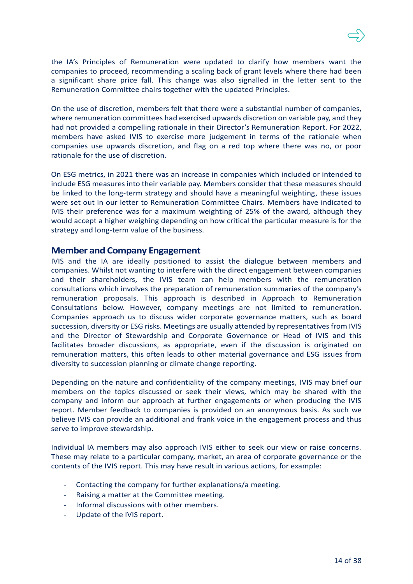the IA's Principles of Remuneration were updated to clarify how members want the companies to proceed, recommending a scaling back of grant levels where there had been a significant share price fall. This change was also signalled in the letter sent to the Remuneration Committee chairs together with the updated Principles.

On the use of discretion, members felt that there were a substantial number of companies, where remuneration committees had exercised upwards discretion on variable pay, and they had not provided a compelling rationale in their Director's Remuneration Report. For 2022, members have asked IVIS to exercise more judgement in terms of the rationale when companies use upwards discretion, and flag on a red top where there was no, or poor rationale for the use of discretion.

On ESG metrics, in 2021 there was an increase in companies which included or intended to include ESG measures into their variable pay. Members consider that these measures should be linked to the long-term strategy and should have a meaningful weighting, these issues were set out in our letter to Remuneration Committee Chairs. Members have indicated to IVIS their preference was for a maximum weighting of 25% of the award, although they would accept a higher weighing depending on how critical the particular measure is for the strategy and long-term value of the business.

### **Member and Company Engagement**

IVIS and the IA are ideally positioned to assist the dialogue between members and companies. Whilst not wanting to interfere with the direct engagement between companies and their shareholders, the IVIS team can help members with the remuneration consultations which involves the preparation of remuneration summaries of the company's remuneration proposals. This approach is described in Approach to Remuneration Consultations below. However, company meetings are not limited to remuneration. Companies approach us to discuss wider corporate governance matters, such as board succession, diversity or ESG risks. Meetings are usually attended by representatives from IVIS and the Director of Stewardship and Corporate Governance or Head of IVIS and this facilitates broader discussions, as appropriate, even if the discussion is originated on remuneration matters, this often leads to other material governance and ESG issues from diversity to succession planning or climate change reporting.

Depending on the nature and confidentiality of the company meetings, IVIS may brief our members on the topics discussed or seek their views, which may be shared with the company and inform our approach at further engagements or when producing the IVIS report. Member feedback to companies is provided on an anonymous basis. As such we believe IVIS can provide an additional and frank voice in the engagement process and thus serve to improve stewardship.

Individual IA members may also approach IVIS either to seek our view or raise concerns. These may relate to a particular company, market, an area of corporate governance or the contents of the IVIS report. This may have result in various actions, for example:

- Contacting the company for further explanations/a meeting.
- Raising a matter at the Committee meeting.
- Informal discussions with other members.
- Update of the IVIS report.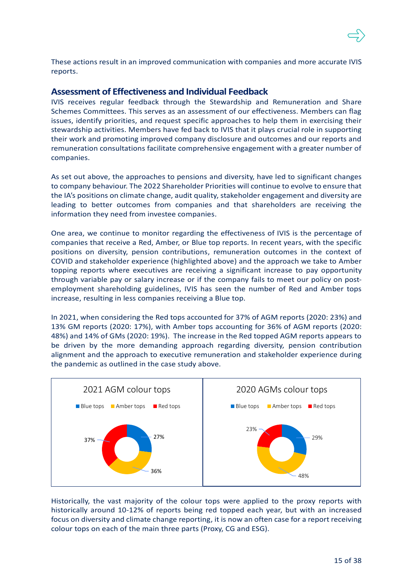

These actions result in an improved communication with companies and more accurate IVIS reports.

### **Assessment of Effectiveness and Individual Feedback**

IVIS receives regular feedback through the Stewardship and Remuneration and Share Schemes Committees. This serves as an assessment of our effectiveness. Members can flag issues, identify priorities, and request specific approaches to help them in exercising their stewardship activities. Members have fed back to IVIS that it plays crucial role in supporting their work and promoting improved company disclosure and outcomes and our reports and remuneration consultations facilitate comprehensive engagement with a greater number of companies.

As set out above, the approaches to pensions and diversity, have led to significant changes to company behaviour. The 2022 Shareholder Priorities will continue to evolve to ensure that the IA's positions on climate change, audit quality, stakeholder engagement and diversity are leading to better outcomes from companies and that shareholders are receiving the information they need from investee companies.

One area, we continue to monitor regarding the effectiveness of IVIS is the percentage of companies that receive a Red, Amber, or Blue top reports. In recent years, with the specific positions on diversity, pension contributions, remuneration outcomes in the context of COVID and stakeholder experience (highlighted above) and the approach we take to Amber topping reports where executives are receiving a significant increase to pay opportunity through variable pay or salary increase or if the company fails to meet our policy on postemployment shareholding guidelines, IVIS has seen the number of Red and Amber tops increase, resulting in less companies receiving a Blue top.

In 2021, when considering the Red tops accounted for 37% of AGM reports (2020: 23%) and 13% GM reports (2020: 17%), with Amber tops accounting for 36% of AGM reports (2020: 48%) and 14% of GMs (2020: 19%). The increase in the Red topped AGM reports appears to be driven by the more demanding approach regarding diversity, pension contribution alignment and the approach to executive remuneration and stakeholder experience during the pandemic as outlined in the case study above.



Historically, the vast majority of the colour tops were applied to the proxy reports with historically around 10-12% of reports being red topped each year, but with an increased focus on diversity and climate change reporting, it is now an often case for a report receiving colour tops on each of the main three parts (Proxy, CG and ESG).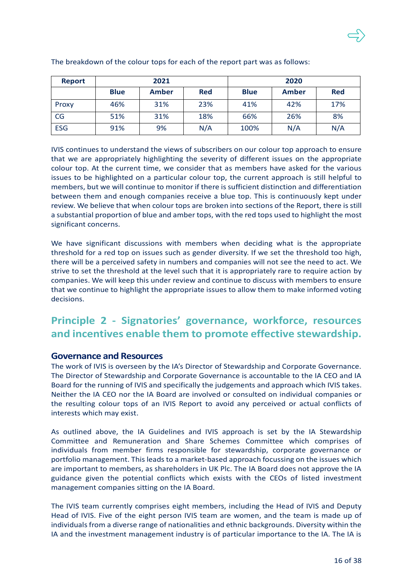| <b>Report</b> |             | 2021  |            |             | 2020  |            |
|---------------|-------------|-------|------------|-------------|-------|------------|
|               | <b>Blue</b> | Amber | <b>Red</b> | <b>Blue</b> | Amber | <b>Red</b> |
| Proxy         | 46%         | 31%   | 23%        | 41%         | 42%   | 17%        |
| CG            | 51%         | 31%   | 18%        | 66%         | 26%   | 8%         |
| <b>ESG</b>    | 91%         | 9%    | N/A        | 100%        | N/A   | N/A        |

The breakdown of the colour tops for each of the report part was as follows:

IVIS continues to understand the views of subscribers on our colour top approach to ensure that we are appropriately highlighting the severity of different issues on the appropriate colour top. At the current time, we consider that as members have asked for the various issues to be highlighted on a particular colour top, the current approach is still helpful to members, but we will continue to monitor if there is sufficient distinction and differentiation between them and enough companies receive a blue top. This is continuously kept under review. We believe that when colour tops are broken into sections of the Report, there is still a substantial proportion of blue and amber tops, with the red tops used to highlight the most significant concerns.

We have significant discussions with members when deciding what is the appropriate threshold for a red top on issues such as gender diversity. If we set the threshold too high, there will be a perceived safety in numbers and companies will not see the need to act. We strive to set the threshold at the level such that it is appropriately rare to require action by companies. We will keep this under review and continue to discuss with members to ensure that we continue to highlight the appropriate issues to allow them to make informed voting decisions.

# **Principle 2 - Signatories' governance, workforce, resources and incentives enable them to promote effective stewardship.**

## **Governance and Resources**

The work of IVIS is overseen by the IA's Director of Stewardship and Corporate Governance. The Director of Stewardship and Corporate Governance is accountable to the IA CEO and IA Board for the running of IVIS and specifically the judgements and approach which IVIS takes. Neither the IA CEO nor the IA Board are involved or consulted on individual companies or the resulting colour tops of an IVIS Report to avoid any perceived or actual conflicts of interests which may exist.

As outlined above, the IA Guidelines and IVIS approach is set by the IA Stewardship Committee and Remuneration and Share Schemes Committee which comprises of individuals from member firms responsible for stewardship, corporate governance or portfolio management. This leads to a market-based approach focussing on the issues which are important to members, as shareholders in UK Plc. The IA Board does not approve the IA guidance given the potential conflicts which exists with the CEOs of listed investment management companies sitting on the IA Board.

The IVIS team currently comprises eight members, including the Head of IVIS and Deputy Head of IVIS. Five of the eight person IVIS team are women, and the team is made up of individuals from a diverse range of nationalities and ethnic backgrounds. Diversity within the IA and the investment management industry is of particular importance to the IA. The IA is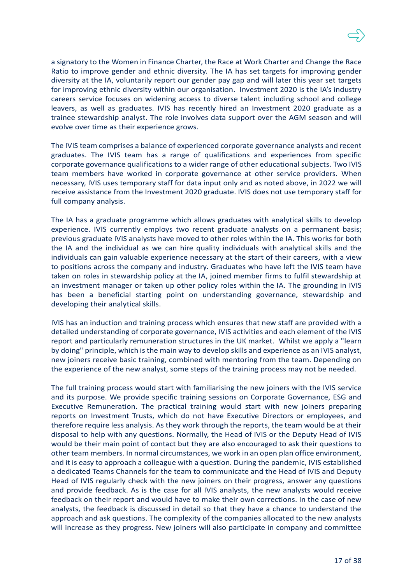a signatory to the Women in Finance Charter, the Race at Work Charter and Change the Race Ratio to improve gender and ethnic diversity. The IA has set targets for improving gender diversity at the IA, voluntarily report our gender pay gap and will later this year set targets for improving ethnic diversity within our organisation. Investment 2020 is the IA's industry careers service focuses on widening access to diverse talent including school and college leavers, as well as graduates. IVIS has recently hired an Investment 2020 graduate as a trainee stewardship analyst. The role involves data support over the AGM season and will evolve over time as their experience grows.

The IVIS team comprises a balance of experienced corporate governance analysts and recent graduates. The IVIS team has a range of qualifications and experiences from specific corporate governance qualifications to a wider range of other educational subjects. Two IVIS team members have worked in corporate governance at other service providers. When necessary, IVIS uses temporary staff for data input only and as noted above, in 2022 we will receive assistance from the Investment 2020 graduate. IVIS does not use temporary staff for full company analysis.

The IA has a graduate programme which allows graduates with analytical skills to develop experience. IVIS currently employs two recent graduate analysts on a permanent basis; previous graduate IVIS analysts have moved to other roles within the IA. This works for both the IA and the individual as we can hire quality individuals with analytical skills and the individuals can gain valuable experience necessary at the start of their careers, with a view to positions across the company and industry. Graduates who have left the IVIS team have taken on roles in stewardship policy at the IA, joined member firms to fulfil stewardship at an investment manager or taken up other policy roles within the IA. The grounding in IVIS has been a beneficial starting point on understanding governance, stewardship and developing their analytical skills.

IVIS has an induction and training process which ensures that new staff are provided with a detailed understanding of corporate governance, IVIS activities and each element of the IVIS report and particularly remuneration structures in the UK market. Whilst we apply a "learn by doing" principle, which is the main way to develop skills and experience as an IVIS analyst, new joiners receive basic training, combined with mentoring from the team. Depending on the experience of the new analyst, some steps of the training process may not be needed.

The full training process would start with familiarising the new joiners with the IVIS service and its purpose. We provide specific training sessions on Corporate Governance, ESG and Executive Remuneration. The practical training would start with new joiners preparing reports on Investment Trusts, which do not have Executive Directors or employees, and therefore require less analysis. As they work through the reports, the team would be at their disposal to help with any questions. Normally, the Head of IVIS or the Deputy Head of IVIS would be their main point of contact but they are also encouraged to ask their questions to other team members. In normal circumstances, we work in an open plan office environment, and it is easy to approach a colleague with a question. During the pandemic, IVIS established a dedicated Teams Channels for the team to communicate and the Head of IVIS and Deputy Head of IVIS regularly check with the new joiners on their progress, answer any questions and provide feedback. As is the case for all IVIS analysts, the new analysts would receive feedback on their report and would have to make their own corrections. In the case of new analysts, the feedback is discussed in detail so that they have a chance to understand the approach and ask questions. The complexity of the companies allocated to the new analysts will increase as they progress. New joiners will also participate in company and committee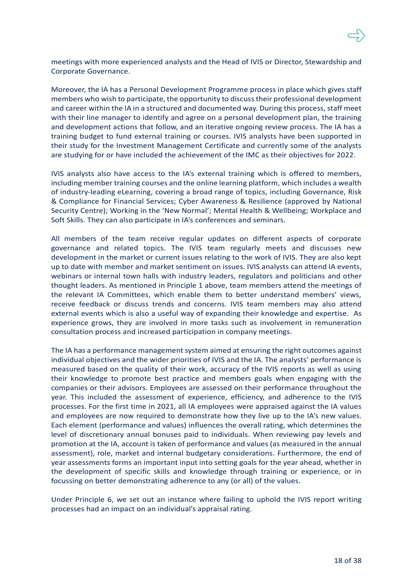

meetings with more experienced analysts and the Head of IVIS or Director, Stewardship and Corporate Governance.

Moreover, the IA has a Personal Development Programme process in place which gives staff members who wish to participate, the opportunity to discuss their professional development and career within the IA in a structured and documented way. During this process, staff meet with their line manager to identify and agree on a personal development plan, the training and development actions that follow, and an iterative ongoing review process. The IA has a training budget to fund external training or courses. IVIS analysts have been supported in their study for the Investment Management Certificate and currently some of the analysts are studying for or have included the achievement of the IMC as their objectives for 2022.

IVIS analysts also have access to the IA's external training which is offered to members, including member training courses and the online learning platform, which includes a wealth of industry-leading eLearning, covering a broad range of topics, including Governance, Risk & Compliance for Financial Services; Cyber Awareness & Resilience (approved by National Security Centre); Working in the 'New Normal'; Mental Health & Wellbeing; Workplace and Soft Skills. They can also participate in IA's conferences and seminars.

All members of the team receive regular updates on different aspects of corporate governance and related topics. The IVIS team regularly meets and discusses new development in the market or current issues relating to the work of IVIS. They are also kept up to date with member and market sentiment on issues. IVIS analysts can attend IA events, webinars or internal town halls with industry leaders, regulators and politicians and other thought leaders. As mentioned in Principle 1 above, team members attend the meetings of the relevant IA Committees, which enable them to better understand members' views, receive feedback or discuss trends and concerns. IVIS team members may also attend external events which is also a useful way of expanding their knowledge and expertise. As experience grows, they are involved in more tasks such as involvement in remuneration consultation process and increased participation in company meetings.

The IA has a performance management system aimed at ensuring the right outcomes against individual objectives and the wider priorities of IVIS and the IA. The analysts' performance is measured based on the quality of their work, accuracy of the IVIS reports as well as using their knowledge to promote best practice and members goals when engaging with the companies or their advisors. Employees are assessed on their performance throughout the year. This included the assessment of experience, efficiency, and adherence to the IVIS processes. For the first time in 2021, all IA employees were appraised against the IA values and employees are now required to demonstrate how they live up to the IA's new values. Each element (performance and values) influences the overall rating, which determines the level of discretionary annual bonuses paid to individuals. When reviewing pay levels and promotion at the IA, account is taken of performance and values (as measured in the annual assessment), role, market and internal budgetary considerations. Furthermore, the end of year assessments forms an important input into setting goals for the year ahead, whether in the development of specific skills and knowledge through training or experience, or in focussing on better demonstrating adherence to any (or all) of the values.

Under Principle 6, we set out an instance where failing to uphold the IVIS report writing processes had an impact on an individual's appraisal rating.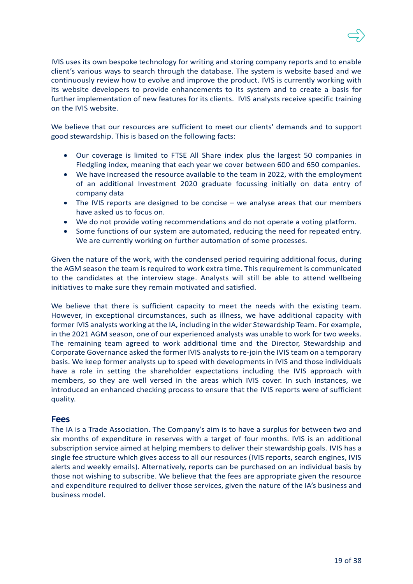IVIS uses its own bespoke technology for writing and storing company reports and to enable client's various ways to search through the database. The system is website based and we continuously review how to evolve and improve the product. IVIS is currently working with its website developers to provide enhancements to its system and to create a basis for further implementation of new features for its clients. IVIS analysts receive specific training on the IVIS website.

We believe that our resources are sufficient to meet our clients' demands and to support good stewardship. This is based on the following facts:

- Our coverage is limited to FTSE All Share index plus the largest 50 companies in Fledgling index, meaning that each year we cover between 600 and 650 companies.
- We have increased the resource available to the team in 2022, with the employment of an additional Investment 2020 graduate focussing initially on data entry of company data
- The IVIS reports are designed to be concise we analyse areas that our members have asked us to focus on.
- We do not provide voting recommendations and do not operate a voting platform.
- Some functions of our system are automated, reducing the need for repeated entry. We are currently working on further automation of some processes.

Given the nature of the work, with the condensed period requiring additional focus, during the AGM season the team is required to work extra time. This requirement is communicated to the candidates at the interview stage. Analysts will still be able to attend wellbeing initiatives to make sure they remain motivated and satisfied.

We believe that there is sufficient capacity to meet the needs with the existing team. However, in exceptional circumstances, such as illness, we have additional capacity with former IVIS analysts working at the IA, including in the wider Stewardship Team. For example, in the 2021 AGM season, one of our experienced analysts was unable to work for two weeks. The remaining team agreed to work additional time and the Director, Stewardship and Corporate Governance asked the former IVIS analysts to re-join the IVIS team on a temporary basis. We keep former analysts up to speed with developments in IVIS and those individuals have a role in setting the shareholder expectations including the IVIS approach with members, so they are well versed in the areas which IVIS cover. In such instances, we introduced an enhanced checking process to ensure that the IVIS reports were of sufficient quality.

### **Fees**

The IA is a Trade Association. The Company's aim is to have a surplus for between two and six months of expenditure in reserves with a target of four months. IVIS is an additional subscription service aimed at helping members to deliver their stewardship goals. IVIS has a single fee structure which gives access to all our resources (IVIS reports, search engines, IVIS alerts and weekly emails). Alternatively, reports can be purchased on an individual basis by those not wishing to subscribe. We believe that the fees are appropriate given the resource and expenditure required to deliver those services, given the nature of the IA's business and business model.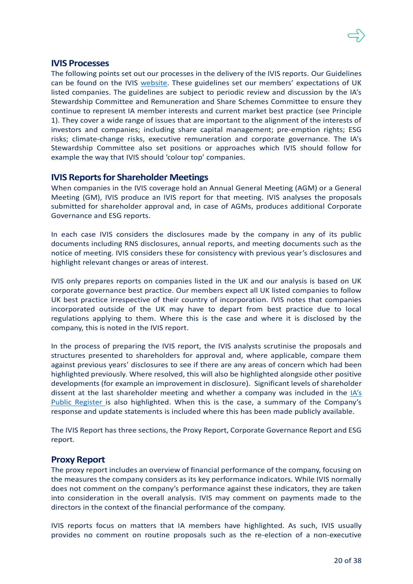### **IVIS Processes**

The following points set out our processes in the delivery of the IVIS reports. Our Guidelines can be found on the IVIS [website.](https://ivis.co.uk/guidelines/) These guidelines set our members' expectations of UK listed companies. The guidelines are subject to periodic review and discussion by the IA's Stewardship Committee and Remuneration and Share Schemes Committee to ensure they continue to represent IA member interests and current market best practice (see Principle 1). They cover a wide range of issues that are important to the alignment of the interests of investors and companies; including share capital management; pre-emption rights; ESG risks; climate-change risks, executive remuneration and corporate governance. The IA's Stewardship Committee also set positions or approaches which IVIS should follow for example the way that IVIS should 'colour top' companies.

### **IVIS Reports for Shareholder Meetings**

When companies in the IVIS coverage hold an Annual General Meeting (AGM) or a General Meeting (GM), IVIS produce an IVIS report for that meeting. IVIS analyses the proposals submitted for shareholder approval and, in case of AGMs, produces additional Corporate Governance and ESG reports.

In each case IVIS considers the disclosures made by the company in any of its public documents including RNS disclosures, annual reports, and meeting documents such as the notice of meeting. IVIS considers these for consistency with previous year's disclosures and highlight relevant changes or areas of interest.

IVIS only prepares reports on companies listed in the UK and our analysis is based on UK corporate governance best practice. Our members expect all UK listed companies to follow UK best practice irrespective of their country of incorporation. IVIS notes that companies incorporated outside of the UK may have to depart from best practice due to local regulations applying to them. Where this is the case and where it is disclosed by the company, this is noted in the IVIS report.

In the process of preparing the IVIS report, the IVIS analysts scrutinise the proposals and structures presented to shareholders for approval and, where applicable, compare them against previous years' disclosures to see if there are any areas of concern which had been highlighted previously. Where resolved, this will also be highlighted alongside other positive developments (for example an improvement in disclosure). Significant levels of shareholder dissent at the last shareholder meeting and whether a company was included in the [IA's](https://www.theia.org/public-register)  [Public Register](https://www.theia.org/public-register) is also highlighted. When this is the case, a summary of the Company's response and update statements is included where this has been made publicly available.

The IVIS Report has three sections, the Proxy Report, Corporate Governance Report and ESG report.

### **Proxy Report**

The proxy report includes an overview of financial performance of the company, focusing on the measures the company considers as its key performance indicators. While IVIS normally does not comment on the company's performance against these indicators, they are taken into consideration in the overall analysis. IVIS may comment on payments made to the directors in the context of the financial performance of the company.

IVIS reports focus on matters that IA members have highlighted. As such, IVIS usually provides no comment on routine proposals such as the re-election of a non-executive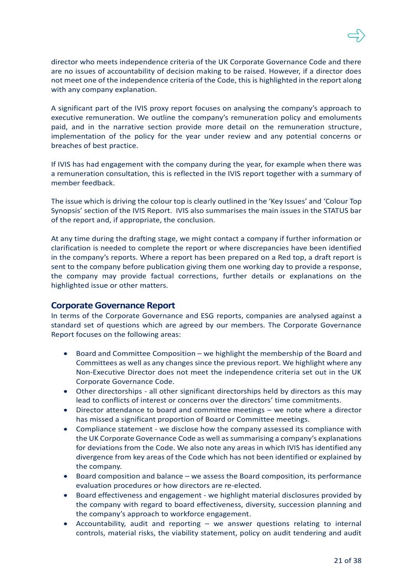director who meets independence criteria of the UK Corporate Governance Code and there are no issues of accountability of decision making to be raised. However, if a director does not meet one of the independence criteria of the Code, this is highlighted in the report along with any company explanation.

A significant part of the IVIS proxy report focuses on analysing the company's approach to executive remuneration. We outline the company's remuneration policy and emoluments paid, and in the narrative section provide more detail on the remuneration structure, implementation of the policy for the year under review and any potential concerns or breaches of best practice.

If IVIS has had engagement with the company during the year, for example when there was a remuneration consultation, this is reflected in the IVIS report together with a summary of member feedback.

The issue which is driving the colour top is clearly outlined in the 'Key Issues' and 'Colour Top Synopsis' section of the IVIS Report. IVIS also summarises the main issues in the STATUS bar of the report and, if appropriate, the conclusion.

At any time during the drafting stage, we might contact a company if further information or clarification is needed to complete the report or where discrepancies have been identified in the company's reports. Where a report has been prepared on a Red top, a draft report is sent to the company before publication giving them one working day to provide a response, the company may provide factual corrections, further details or explanations on the highlighted issue or other matters.

### **Corporate Governance Report**

In terms of the Corporate Governance and ESG reports, companies are analysed against a standard set of questions which are agreed by our members. The Corporate Governance Report focuses on the following areas:

- Board and Committee Composition we highlight the membership of the Board and Committees as well as any changes since the previous report. We highlight where any Non-Executive Director does not meet the independence criteria set out in the UK Corporate Governance Code.
- Other directorships all other significant directorships held by directors as this may lead to conflicts of interest or concerns over the directors' time commitments.
- Director attendance to board and committee meetings we note where a director has missed a significant proportion of Board or Committee meetings.
- Compliance statement we disclose how the company assessed its compliance with the UK Corporate Governance Code as well as summarising a company's explanations for deviations from the Code. We also note any areas in which IVIS has identified any divergence from key areas of the Code which has not been identified or explained by the company.
- Board composition and balance we assess the Board composition, its performance evaluation procedures or how directors are re-elected.
- Board effectiveness and engagement we highlight material disclosures provided by the company with regard to board effectiveness, diversity, succession planning and the company's approach to workforce engagement.
- Accountability, audit and reporting we answer questions relating to internal controls, material risks, the viability statement, policy on audit tendering and audit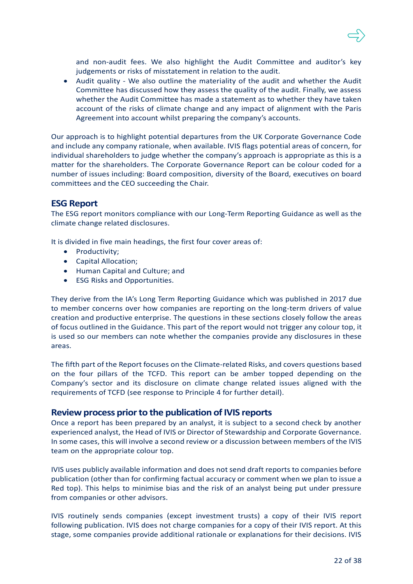and non-audit fees. We also highlight the Audit Committee and auditor's key judgements or risks of misstatement in relation to the audit.

• Audit quality - We also outline the materiality of the audit and whether the Audit Committee has discussed how they assess the quality of the audit. Finally, we assess whether the Audit Committee has made a statement as to whether they have taken account of the risks of climate change and any impact of alignment with the Paris Agreement into account whilst preparing the company's accounts.

Our approach is to highlight potential departures from the UK Corporate Governance Code and include any company rationale, when available. IVIS flags potential areas of concern, for individual shareholders to judge whether the company's approach is appropriate as this is a matter for the shareholders. The Corporate Governance Report can be colour coded for a number of issues including: Board composition, diversity of the Board, executives on board committees and the CEO succeeding the Chair.

## **ESG Report**

The ESG report monitors compliance with our Long-Term Reporting Guidance as well as the climate change related disclosures.

It is divided in five main headings, the first four cover areas of:

- Productivity;
- Capital Allocation;
- Human Capital and Culture; and
- ESG Risks and Opportunities.

They derive from the IA's Long Term Reporting Guidance which was published in 2017 due to member concerns over how companies are reporting on the long-term drivers of value creation and productive enterprise. The questions in these sections closely follow the areas of focus outlined in the Guidance. This part of the report would not trigger any colour top, it is used so our members can note whether the companies provide any disclosures in these areas.

The fifth part of the Report focuses on the Climate-related Risks, and covers questions based on the four pillars of the TCFD. This report can be amber topped depending on the Company's sector and its disclosure on climate change related issues aligned with the requirements of TCFD (see response to Principle 4 for further detail).

### **Review process prior to the publication of IVIS reports**

Once a report has been prepared by an analyst, it is subject to a second check by another experienced analyst, the Head of IVIS or Director of Stewardship and Corporate Governance. In some cases, this will involve a second review or a discussion between members of the IVIS team on the appropriate colour top.

IVIS uses publicly available information and does not send draft reports to companies before publication (other than for confirming factual accuracy or comment when we plan to issue a Red top). This helps to minimise bias and the risk of an analyst being put under pressure from companies or other advisors.

IVIS routinely sends companies (except investment trusts) a copy of their IVIS report following publication. IVIS does not charge companies for a copy of their IVIS report. At this stage, some companies provide additional rationale or explanations for their decisions. IVIS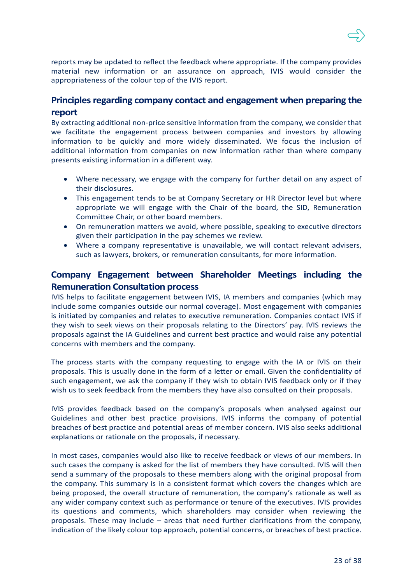

reports may be updated to reflect the feedback where appropriate. If the company provides material new information or an assurance on approach, IVIS would consider the appropriateness of the colour top of the IVIS report.

## **Principles regarding company contact and engagement when preparing the report**

By extracting additional non-price sensitive information from the company, we consider that we facilitate the engagement process between companies and investors by allowing information to be quickly and more widely disseminated. We focus the inclusion of additional information from companies on new information rather than where company presents existing information in a different way.

- Where necessary, we engage with the company for further detail on any aspect of their disclosures.
- This engagement tends to be at Company Secretary or HR Director level but where appropriate we will engage with the Chair of the board, the SID, Remuneration Committee Chair, or other board members.
- On remuneration matters we avoid, where possible, speaking to executive directors given their participation in the pay schemes we review.
- Where a company representative is unavailable, we will contact relevant advisers, such as lawyers, brokers, or remuneration consultants, for more information.

## **Company Engagement between Shareholder Meetings including the Remuneration Consultation process**

IVIS helps to facilitate engagement between IVIS, IA members and companies (which may include some companies outside our normal coverage). Most engagement with companies is initiated by companies and relates to executive remuneration. Companies contact IVIS if they wish to seek views on their proposals relating to the Directors' pay. IVIS reviews the proposals against the IA Guidelines and current best practice and would raise any potential concerns with members and the company.

The process starts with the company requesting to engage with the IA or IVIS on their proposals. This is usually done in the form of a letter or email. Given the confidentiality of such engagement, we ask the company if they wish to obtain IVIS feedback only or if they wish us to seek feedback from the members they have also consulted on their proposals.

IVIS provides feedback based on the company's proposals when analysed against our Guidelines and other best practice provisions. IVIS informs the company of potential breaches of best practice and potential areas of member concern. IVIS also seeks additional explanations or rationale on the proposals, if necessary.

In most cases, companies would also like to receive feedback or views of our members. In such cases the company is asked for the list of members they have consulted. IVIS will then send a summary of the proposals to these members along with the original proposal from the company. This summary is in a consistent format which covers the changes which are being proposed, the overall structure of remuneration, the company's rationale as well as any wider company context such as performance or tenure of the executives. IVIS provides its questions and comments, which shareholders may consider when reviewing the proposals. These may include – areas that need further clarifications from the company, indication of the likely colour top approach, potential concerns, or breaches of best practice.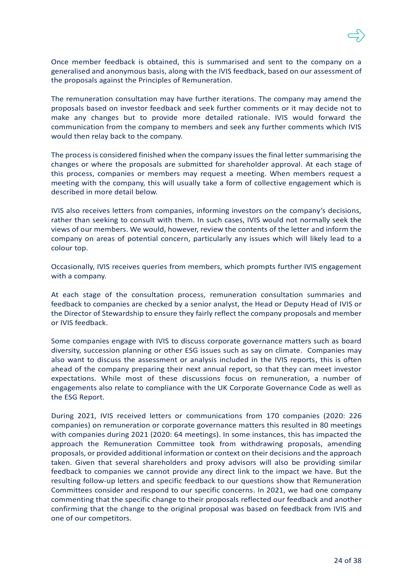Once member feedback is obtained, this is summarised and sent to the company on a generalised and anonymous basis, along with the IVIS feedback, based on our assessment of the proposals against the Principles of Remuneration.

The remuneration consultation may have further iterations. The company may amend the proposals based on investor feedback and seek further comments or it may decide not to make any changes but to provide more detailed rationale. IVIS would forward the communication from the company to members and seek any further comments which IVIS would then relay back to the company.

The process is considered finished when the company issues the final letter summarising the changes or where the proposals are submitted for shareholder approval. At each stage of this process, companies or members may request a meeting. When members request a meeting with the company, this will usually take a form of collective engagement which is described in more detail below.

IVIS also receives letters from companies, informing investors on the company's decisions, rather than seeking to consult with them. In such cases, IVIS would not normally seek the views of our members. We would, however, review the contents of the letter and inform the company on areas of potential concern, particularly any issues which will likely lead to a colour top.

Occasionally, IVIS receives queries from members, which prompts further IVIS engagement with a company.

At each stage of the consultation process, remuneration consultation summaries and feedback to companies are checked by a senior analyst, the Head or Deputy Head of IVIS or the Director of Stewardship to ensure they fairly reflect the company proposals and member or IVIS feedback.

Some companies engage with IVIS to discuss corporate governance matters such as board diversity, succession planning or other ESG issues such as say on climate. Companies may also want to discuss the assessment or analysis included in the IVIS reports, this is often ahead of the company preparing their next annual report, so that they can meet investor expectations. While most of these discussions focus on remuneration, a number of engagements also relate to compliance with the UK Corporate Governance Code as well as the ESG Report.

During 2021, IVIS received letters or communications from 170 companies (2020: 226 companies) on remuneration or corporate governance matters this resulted in 80 meetings with companies during 2021 (2020: 64 meetings). In some instances, this has impacted the approach the Remuneration Committee took from withdrawing proposals, amending proposals, or provided additional information or context on their decisions and the approach taken. Given that several shareholders and proxy advisors will also be providing similar feedback to companies we cannot provide any direct link to the impact we have. But the resulting follow-up letters and specific feedback to our questions show that Remuneration Committees consider and respond to our specific concerns. In 2021, we had one company commenting that the specific change to their proposals reflected our feedback and another confirming that the change to the original proposal was based on feedback from IVIS and one of our competitors.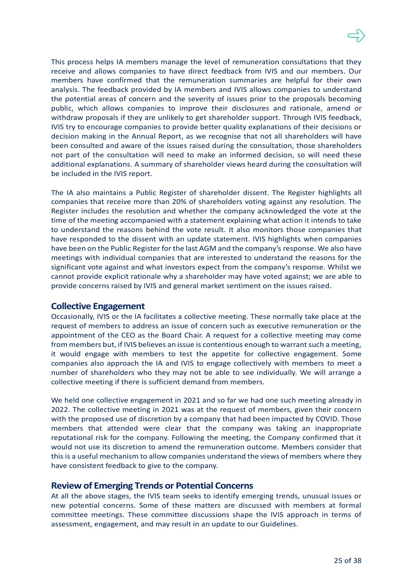This process helps IA members manage the level of remuneration consultations that they receive and allows companies to have direct feedback from IVIS and our members. Our members have confirmed that the remuneration summaries are helpful for their own analysis. The feedback provided by IA members and IVIS allows companies to understand the potential areas of concern and the severity of issues prior to the proposals becoming public, which allows companies to improve their disclosures and rationale, amend or withdraw proposals if they are unlikely to get shareholder support. Through IVIS feedback, IVIS try to encourage companies to provide better quality explanations of their decisions or decision making in the Annual Report, as we recognise that not all shareholders will have been consulted and aware of the issues raised during the consultation, those shareholders not part of the consultation will need to make an informed decision, so will need these additional explanations. A summary of shareholder views heard during the consultation will be included in the IVIS report.

The IA also maintains a Public Register of shareholder dissent. The Register highlights all companies that receive more than 20% of shareholders voting against any resolution. The Register includes the resolution and whether the company acknowledged the vote at the time of the meeting accompanied with a statement explaining what action it intends to take to understand the reasons behind the vote result. It also monitors those companies that have responded to the dissent with an update statement. IVIS highlights when companies have been on the Public Register for the last AGM and the company's response. We also have meetings with individual companies that are interested to understand the reasons for the significant vote against and what investors expect from the company's response. Whilst we cannot provide explicit rationale why a shareholder may have voted against; we are able to provide concerns raised by IVIS and general market sentiment on the issues raised.

#### **Collective Engagement**

Occasionally, IVIS or the IA facilitates a collective meeting. These normally take place at the request of members to address an issue of concern such as executive remuneration or the appointment of the CEO as the Board Chair. A request for a collective meeting may come from members but, if IVIS believes an issue is contentious enough to warrant such a meeting, it would engage with members to test the appetite for collective engagement. Some companies also approach the IA and IVIS to engage collectively with members to meet a number of shareholders who they may not be able to see individually. We will arrange a collective meeting if there is sufficient demand from members.

We held one collective engagement in 2021 and so far we had one such meeting already in 2022. The collective meeting in 2021 was at the request of members, given their concern with the proposed use of discretion by a company that had been impacted by COVID. Those members that attended were clear that the company was taking an inappropriate reputational risk for the company. Following the meeting, the Company confirmed that it would not use its discretion to amend the remuneration outcome. Members consider that this is a useful mechanism to allow companies understand the views of members where they have consistent feedback to give to the company.

### **Review of Emerging Trends or Potential Concerns**

At all the above stages, the IVIS team seeks to identify emerging trends, unusual issues or new potential concerns. Some of these matters are discussed with members at formal committee meetings. These committee discussions shape the IVIS approach in terms of assessment, engagement, and may result in an update to our Guidelines.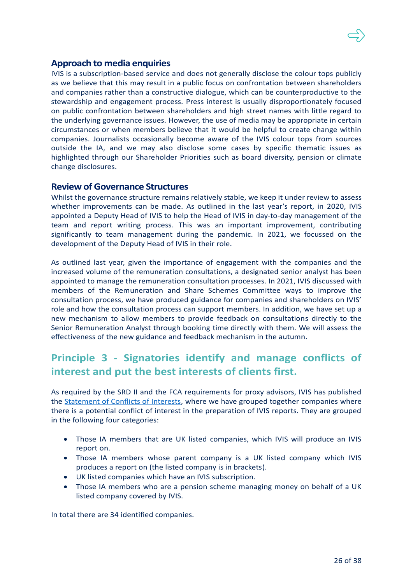

IVIS is a subscription-based service and does not generally disclose the colour tops publicly as we believe that this may result in a public focus on confrontation between shareholders and companies rather than a constructive dialogue, which can be counterproductive to the stewardship and engagement process. Press interest is usually disproportionately focused on public confrontation between shareholders and high street names with little regard to the underlying governance issues. However, the use of media may be appropriate in certain circumstances or when members believe that it would be helpful to create change within companies. Journalists occasionally become aware of the IVIS colour tops from sources outside the IA, and we may also disclose some cases by specific thematic issues as highlighted through our Shareholder Priorities such as board diversity, pension or climate change disclosures.

### **Review of Governance Structures**

Whilst the governance structure remains relatively stable, we keep it under review to assess whether improvements can be made. As outlined in the last year's report, in 2020, IVIS appointed a Deputy Head of IVIS to help the Head of IVIS in day-to-day management of the team and report writing process. This was an important improvement, contributing significantly to team management during the pandemic. In 2021, we focussed on the development of the Deputy Head of IVIS in their role.

As outlined last year, given the importance of engagement with the companies and the increased volume of the remuneration consultations, a designated senior analyst has been appointed to manage the remuneration consultation processes. In 2021, IVIS discussed with members of the Remuneration and Share Schemes Committee ways to improve the consultation process, we have produced guidance for companies and shareholders on IVIS' role and how the consultation process can support members. In addition, we have set up a new mechanism to allow members to provide feedback on consultations directly to the Senior Remuneration Analyst through booking time directly with them. We will assess the effectiveness of the new guidance and feedback mechanism in the autumn.

# **Principle 3 - Signatories identify and manage conflicts of interest and put the best interests of clients first.**

As required by the SRD II and the FCA requirements for proxy advisors, IVIS has published the [Statement of Conflicts of Interests,](https://ivis.co.uk/media/13899/conflicts-of-interest-statement-april-2022.pdf) where we have grouped together companies where there is a potential conflict of interest in the preparation of IVIS reports. They are grouped in the following four categories:

- Those IA members that are UK listed companies, which IVIS will produce an IVIS report on.
- Those IA members whose parent company is a UK listed company which IVIS produces a report on (the listed company is in brackets).
- UK listed companies which have an IVIS subscription.
- Those IA members who are a pension scheme managing money on behalf of a UK listed company covered by IVIS.

In total there are 34 identified companies.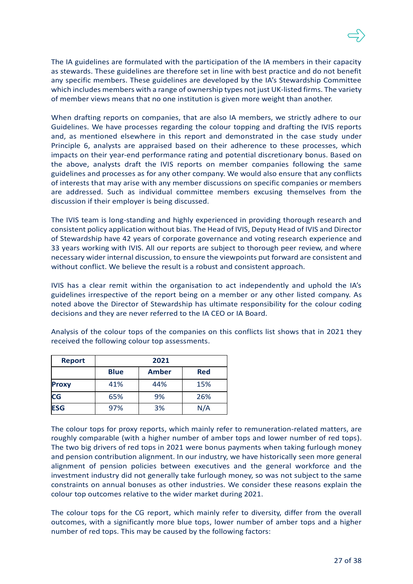The IA guidelines are formulated with the participation of the IA members in their capacity as stewards. These guidelines are therefore set in line with best practice and do not benefit any specific members. These guidelines are developed by the IA's Stewardship Committee which includes members with a range of ownership types not just UK-listed firms. The variety of member views means that no one institution is given more weight than another.

When drafting reports on companies, that are also IA members, we strictly adhere to our Guidelines. We have processes regarding the colour topping and drafting the IVIS reports and, as mentioned elsewhere in this report and demonstrated in the case study under Principle 6, analysts are appraised based on their adherence to these processes, which impacts on their year-end performance rating and potential discretionary bonus. Based on the above, analysts draft the IVIS reports on member companies following the same guidelines and processes as for any other company. We would also ensure that any conflicts of interests that may arise with any member discussions on specific companies or members are addressed. Such as individual committee members excusing themselves from the discussion if their employer is being discussed.

The IVIS team is long-standing and highly experienced in providing thorough research and consistent policy application without bias. The Head of IVIS, Deputy Head of IVIS and Director of Stewardship have 42 years of corporate governance and voting research experience and 33 years working with IVIS. All our reports are subject to thorough peer review, and where necessary wider internal discussion, to ensure the viewpoints put forward are consistent and without conflict. We believe the result is a robust and consistent approach.

IVIS has a clear remit within the organisation to act independently and uphold the IA's guidelines irrespective of the report being on a member or any other listed company. As noted above the Director of Stewardship has ultimate responsibility for the colour coding decisions and they are never referred to the IA CEO or IA Board.

| <b>Report</b> | 2021        |              |            |  |  |
|---------------|-------------|--------------|------------|--|--|
|               | <b>Blue</b> | <b>Amber</b> | <b>Red</b> |  |  |
| <b>Proxy</b>  | 41%         | 44%          | 15%        |  |  |
| CG            | 65%         | 9%           | 26%        |  |  |
| <b>ESG</b>    | 97%         | 3%           | N/A        |  |  |

Analysis of the colour tops of the companies on this conflicts list shows that in 2021 they received the following colour top assessments.

The colour tops for proxy reports, which mainly refer to remuneration-related matters, are roughly comparable (with a higher number of amber tops and lower number of red tops). The two big drivers of red tops in 2021 were bonus payments when taking furlough money and pension contribution alignment. In our industry, we have historically seen more general alignment of pension policies between executives and the general workforce and the investment industry did not generally take furlough money, so was not subject to the same constraints on annual bonuses as other industries. We consider these reasons explain the colour top outcomes relative to the wider market during 2021.

The colour tops for the CG report, which mainly refer to diversity, differ from the overall outcomes, with a significantly more blue tops, lower number of amber tops and a higher number of red tops. This may be caused by the following factors: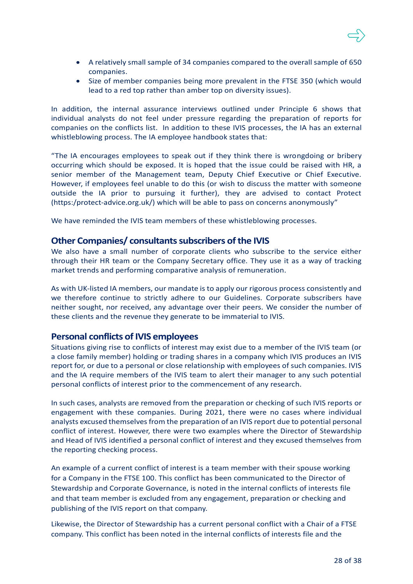

- A relatively small sample of 34 companies compared to the overall sample of 650 companies.
- Size of member companies being more prevalent in the FTSE 350 (which would lead to a red top rather than amber top on diversity issues).

In addition, the internal assurance interviews outlined under Principle 6 shows that individual analysts do not feel under pressure regarding the preparation of reports for companies on the conflicts list. In addition to these IVIS processes, the IA has an external whistleblowing process. The IA employee handbook states that:

"The IA encourages employees to speak out if they think there is wrongdoing or bribery occurring which should be exposed. It is hoped that the issue could be raised with HR, a senior member of the Management team, Deputy Chief Executive or Chief Executive. However, if employees feel unable to do this (or wish to discuss the matter with someone outside the IA prior to pursuing it further), they are advised to contact Protect (https:/protect-advice.org.uk/) which will be able to pass on concerns anonymously"

We have reminded the IVIS team members of these whistleblowing processes.

### **Other Companies/ consultants subscribers of the IVIS**

We also have a small number of corporate clients who subscribe to the service either through their HR team or the Company Secretary office. They use it as a way of tracking market trends and performing comparative analysis of remuneration.

As with UK-listed IA members, our mandate is to apply our rigorous process consistently and we therefore continue to strictly adhere to our Guidelines. Corporate subscribers have neither sought, nor received, any advantage over their peers. We consider the number of these clients and the revenue they generate to be immaterial to IVIS.

### **Personal conflicts of IVIS employees**

Situations giving rise to conflicts of interest may exist due to a member of the IVIS team (or a close family member) holding or trading shares in a company which IVIS produces an IVIS report for, or due to a personal or close relationship with employees of such companies. IVIS and the IA require members of the IVIS team to alert their manager to any such potential personal conflicts of interest prior to the commencement of any research.

In such cases, analysts are removed from the preparation or checking of such IVIS reports or engagement with these companies. During 2021, there were no cases where individual analysts excused themselves from the preparation of an IVIS report due to potential personal conflict of interest. However, there were two examples where the Director of Stewardship and Head of IVIS identified a personal conflict of interest and they excused themselves from the reporting checking process.

An example of a current conflict of interest is a team member with their spouse working for a Company in the FTSE 100. This conflict has been communicated to the Director of Stewardship and Corporate Governance, is noted in the internal conflicts of interests file and that team member is excluded from any engagement, preparation or checking and publishing of the IVIS report on that company.

Likewise, the Director of Stewardship has a current personal conflict with a Chair of a FTSE company. This conflict has been noted in the internal conflicts of interests file and the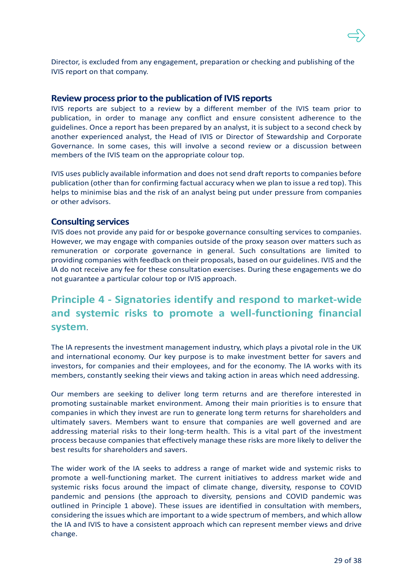

Director, is excluded from any engagement, preparation or checking and publishing of the IVIS report on that company.

### **Review process prior to the publication of IVIS reports**

IVIS reports are subject to a review by a different member of the IVIS team prior to publication, in order to manage any conflict and ensure consistent adherence to the guidelines. Once a report has been prepared by an analyst, it is subject to a second check by another experienced analyst, the Head of IVIS or Director of Stewardship and Corporate Governance. In some cases, this will involve a second review or a discussion between members of the IVIS team on the appropriate colour top.

IVIS uses publicly available information and does not send draft reports to companies before publication (other than for confirming factual accuracy when we plan to issue a red top). This helps to minimise bias and the risk of an analyst being put under pressure from companies or other advisors.

### **Consulting services**

IVIS does not provide any paid for or bespoke governance consulting services to companies. However, we may engage with companies outside of the proxy season over matters such as remuneration or corporate governance in general. Such consultations are limited to providing companies with feedback on their proposals, based on our guidelines. IVIS and the IA do not receive any fee for these consultation exercises. During these engagements we do not guarantee a particular colour top or IVIS approach.

# **Principle 4 - Signatories identify and respond to market-wide and systemic risks to promote a well-functioning financial system**.

The IA represents the investment management industry, which plays a pivotal role in the UK and international economy. Our key purpose is to make investment better for savers and investors, for companies and their employees, and for the economy. The IA works with its members, constantly seeking their views and taking action in areas which need addressing.

Our members are seeking to deliver long term returns and are therefore interested in promoting sustainable market environment. Among their main priorities is to ensure that companies in which they invest are run to generate long term returns for shareholders and ultimately savers. Members want to ensure that companies are well governed and are addressing material risks to their long-term health. This is a vital part of the investment process because companies that effectively manage these risks are more likely to deliver the best results for shareholders and savers.

The wider work of the IA seeks to address a range of market wide and systemic risks to promote a well-functioning market. The current initiatives to address market wide and systemic risks focus around the impact of climate change, diversity, response to COVID pandemic and pensions (the approach to diversity, pensions and COVID pandemic was outlined in Principle 1 above). These issues are identified in consultation with members, considering the issues which are important to a wide spectrum of members, and which allow the IA and IVIS to have a consistent approach which can represent member views and drive change.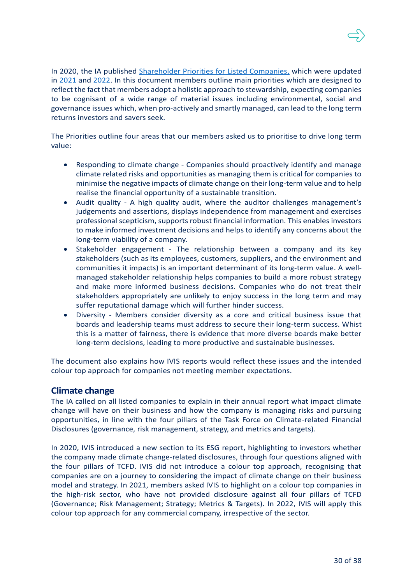In 2020, the IA published [Shareholder Priorities for Listed Companies,](https://ivis.co.uk/media/13879/shareholder-priorities-for-2020-supporting-long-term-value-in-uk-listed-companies.pdf) which were updated in [2021](https://ivis.co.uk/media/13888/ia-shareholder-priorities-2021.pdf) and [2022.](https://ivis.co.uk/media/13898/ia-shareholder-priorities-and-ivis-approach-for-2022.pdf) In this document members outline main priorities which are designed to reflect the fact that members adopt a holistic approach to stewardship, expecting companies to be cognisant of a wide range of material issues including environmental, social and governance issues which, when pro-actively and smartly managed, can lead to the long term returns investors and savers seek.

The Priorities outline four areas that our members asked us to prioritise to drive long term value:

- Responding to climate change Companies should proactively identify and manage climate related risks and opportunities as managing them is critical for companies to minimise the negative impacts of climate change on their long-term value and to help realise the financial opportunity of a sustainable transition.
- Audit quality A high quality audit, where the auditor challenges management's judgements and assertions, displays independence from management and exercises professional scepticism, supports robust financial information. This enables investors to make informed investment decisions and helps to identify any concerns about the long-term viability of a company.
- Stakeholder engagement The relationship between a company and its key stakeholders (such as its employees, customers, suppliers, and the environment and communities it impacts) is an important determinant of its long-term value. A wellmanaged stakeholder relationship helps companies to build a more robust strategy and make more informed business decisions. Companies who do not treat their stakeholders appropriately are unlikely to enjoy success in the long term and may suffer reputational damage which will further hinder success.
- Diversity Members consider diversity as a core and critical business issue that boards and leadership teams must address to secure their long-term success. Whist this is a matter of fairness, there is evidence that more diverse boards make better long-term decisions, leading to more productive and sustainable businesses.

The document also explains how IVIS reports would reflect these issues and the intended colour top approach for companies not meeting member expectations.

### **Climate change**

The IA called on all listed companies to explain in their annual report what impact climate change will have on their business and how the company is managing risks and pursuing opportunities, in line with the four pillars of the Task Force on Climate-related Financial Disclosures (governance, risk management, strategy, and metrics and targets).

In 2020, IVIS introduced a new section to its ESG report, highlighting to investors whether the company made climate change-related disclosures, through four questions aligned with the four pillars of TCFD. IVIS did not introduce a colour top approach, recognising that companies are on a journey to considering the impact of climate change on their business model and strategy. In 2021, members asked IVIS to highlight on a colour top companies in the high-risk sector, who have not provided disclosure against all four pillars of TCFD (Governance; Risk Management; Strategy; Metrics & Targets). In 2022, IVIS will apply this colour top approach for any commercial company, irrespective of the sector.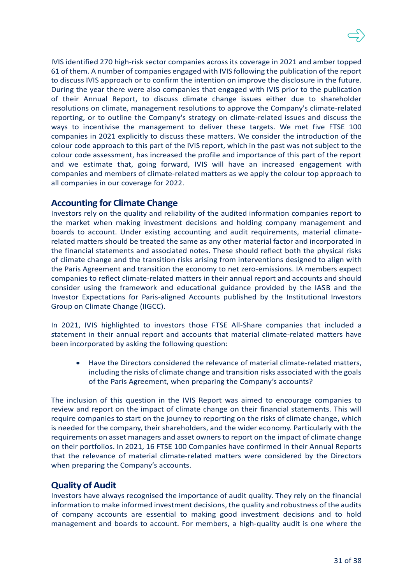IVIS identified 270 high-risk sector companies across its coverage in 2021 and amber topped 61 of them. A number of companies engaged with IVIS following the publication of the report to discuss IVIS approach or to confirm the intention on improve the disclosure in the future. During the year there were also companies that engaged with IVIS prior to the publication of their Annual Report, to discuss climate change issues either due to shareholder resolutions on climate, management resolutions to approve the Company's climate-related reporting, or to outline the Company's strategy on climate-related issues and discuss the ways to incentivise the management to deliver these targets. We met five FTSE 100 companies in 2021 explicitly to discuss these matters. We consider the introduction of the colour code approach to this part of the IVIS report, which in the past was not subject to the colour code assessment, has increased the profile and importance of this part of the report and we estimate that, going forward, IVIS will have an increased engagement with companies and members of climate-related matters as we apply the colour top approach to all companies in our coverage for 2022.

## **Accounting for Climate Change**

Investors rely on the quality and reliability of the audited information companies report to the market when making investment decisions and holding company management and boards to account. Under existing accounting and audit requirements, material climaterelated matters should be treated the same as any other material factor and incorporated in the financial statements and associated notes. These should reflect both the physical risks of climate change and the transition risks arising from interventions designed to align with the Paris Agreement and transition the economy to net zero-emissions. IA members expect companies to reflect climate-related matters in their annual report and accounts and should consider using the framework and educational guidance provided by the IASB and the Investor Expectations for Paris-aligned Accounts published by the Institutional Investors Group on Climate Change (IIGCC).

In 2021, IVIS highlighted to investors those FTSE All-Share companies that included a statement in their annual report and accounts that material climate-related matters have been incorporated by asking the following question:

• Have the Directors considered the relevance of material climate-related matters, including the risks of climate change and transition risks associated with the goals of the Paris Agreement, when preparing the Company's accounts?

The inclusion of this question in the IVIS Report was aimed to encourage companies to review and report on the impact of climate change on their financial statements. This will require companies to start on the journey to reporting on the risks of climate change, which is needed for the company, their shareholders, and the wider economy. Particularly with the requirements on asset managers and asset owners to report on the impact of climate change on their portfolios. In 2021, 16 FTSE 100 Companies have confirmed in their Annual Reports that the relevance of material climate-related matters were considered by the Directors when preparing the Company's accounts.

### **Quality of Audit**

Investors have always recognised the importance of audit quality. They rely on the financial information to make informed investment decisions, the quality and robustness of the audits of company accounts are essential to making good investment decisions and to hold management and boards to account. For members, a high-quality audit is one where the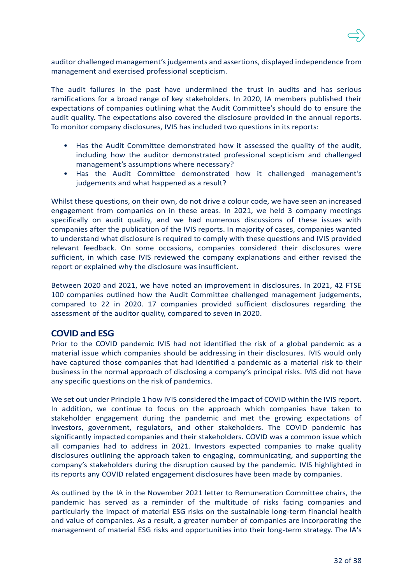

auditor challenged management's judgements and assertions, displayed independence from management and exercised professional scepticism.

The audit failures in the past have undermined the trust in audits and has serious ramifications for a broad range of key stakeholders. In 2020, IA members published their expectations of companies outlining what the Audit Committee's should do to ensure the audit quality. The expectations also covered the disclosure provided in the annual reports. To monitor company disclosures, IVIS has included two questions in its reports:

- Has the Audit Committee demonstrated how it assessed the quality of the audit, including how the auditor demonstrated professional scepticism and challenged management's assumptions where necessary?
- Has the Audit Committee demonstrated how it challenged management's judgements and what happened as a result?

Whilst these questions, on their own, do not drive a colour code, we have seen an increased engagement from companies on in these areas. In 2021, we held 3 company meetings specifically on audit quality, and we had numerous discussions of these issues with companies after the publication of the IVIS reports. In majority of cases, companies wanted to understand what disclosure is required to comply with these questions and IVIS provided relevant feedback. On some occasions, companies considered their disclosures were sufficient, in which case IVIS reviewed the company explanations and either revised the report or explained why the disclosure was insufficient.

Between 2020 and 2021, we have noted an improvement in disclosures. In 2021, 42 FTSE 100 companies outlined how the Audit Committee challenged management judgements, compared to 22 in 2020. 17 companies provided sufficient disclosures regarding the assessment of the auditor quality, compared to seven in 2020.

## **COVID and ESG**

Prior to the COVID pandemic IVIS had not identified the risk of a global pandemic as a material issue which companies should be addressing in their disclosures. IVIS would only have captured those companies that had identified a pandemic as a material risk to their business in the normal approach of disclosing a company's principal risks. IVIS did not have any specific questions on the risk of pandemics.

We set out under Principle 1 how IVIS considered the impact of COVID within the IVIS report. In addition, we continue to focus on the approach which companies have taken to stakeholder engagement during the pandemic and met the growing expectations of investors, government, regulators, and other stakeholders. The COVID pandemic has significantly impacted companies and their stakeholders. COVID was a common issue which all companies had to address in 2021. Investors expected companies to make quality disclosures outlining the approach taken to engaging, communicating, and supporting the company's stakeholders during the disruption caused by the pandemic. IVIS highlighted in its reports any COVID related engagement disclosures have been made by companies.

As outlined by the IA in the November 2021 letter to Remuneration Committee chairs, the pandemic has served as a reminder of the multitude of risks facing companies and particularly the impact of material ESG risks on the sustainable long-term financial health and value of companies. As a result, a greater number of companies are incorporating the management of material ESG risks and opportunities into their long-term strategy. The IA's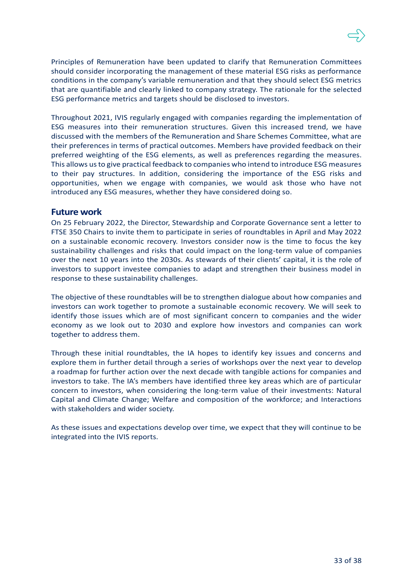Principles of Remuneration have been updated to clarify that Remuneration Committees should consider incorporating the management of these material ESG risks as performance conditions in the company's variable remuneration and that they should select ESG metrics that are quantifiable and clearly linked to company strategy. The rationale for the selected ESG performance metrics and targets should be disclosed to investors.

Throughout 2021, IVIS regularly engaged with companies regarding the implementation of ESG measures into their remuneration structures. Given this increased trend, we have discussed with the members of the Remuneration and Share Schemes Committee, what are their preferences in terms of practical outcomes. Members have provided feedback on their preferred weighting of the ESG elements, as well as preferences regarding the measures. This allows us to give practical feedback to companies who intend to introduce ESG measures to their pay structures. In addition, considering the importance of the ESG risks and opportunities, when we engage with companies, we would ask those who have not introduced any ESG measures, whether they have considered doing so.

### **Future work**

On 25 February 2022, the Director, Stewardship and Corporate Governance sent a letter to FTSE 350 Chairs to invite them to participate in series of roundtables in April and May 2022 on a sustainable economic recovery. Investors consider now is the time to focus the key sustainability challenges and risks that could impact on the long-term value of companies over the next 10 years into the 2030s. As stewards of their clients' capital, it is the role of investors to support investee companies to adapt and strengthen their business model in response to these sustainability challenges.

The objective of these roundtables will be to strengthen dialogue about how companies and investors can work together to promote a sustainable economic recovery. We will seek to identify those issues which are of most significant concern to companies and the wider economy as we look out to 2030 and explore how investors and companies can work together to address them.

Through these initial roundtables, the IA hopes to identify key issues and concerns and explore them in further detail through a series of workshops over the next year to develop a roadmap for further action over the next decade with tangible actions for companies and investors to take. The IA's members have identified three key areas which are of particular concern to investors, when considering the long-term value of their investments: Natural Capital and Climate Change; Welfare and composition of the workforce; and Interactions with stakeholders and wider society.

As these issues and expectations develop over time, we expect that they will continue to be integrated into the IVIS reports.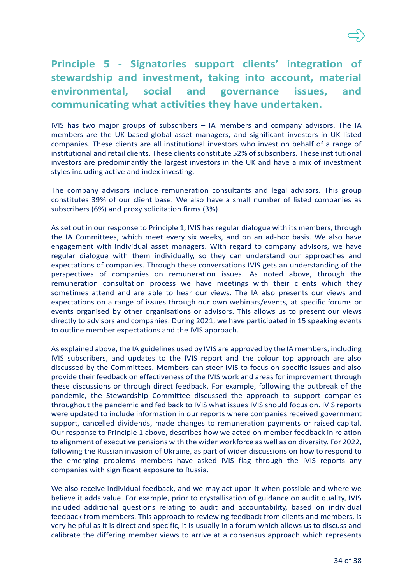# **Principle 5 - Signatories support clients' integration of stewardship and investment, taking into account, material environmental, social and governance issues, and communicating what activities they have undertaken.**

IVIS has two major groups of subscribers – IA members and company advisors. The IA members are the UK based global asset managers, and significant investors in UK listed companies. These clients are all institutional investors who invest on behalf of a range of institutional and retail clients. These clients constitute 52% of subscribers. These institutional investors are predominantly the largest investors in the UK and have a mix of investment styles including active and index investing.

The company advisors include remuneration consultants and legal advisors. This group constitutes 39% of our client base. We also have a small number of listed companies as subscribers (6%) and proxy solicitation firms (3%).

As set out in our response to Principle 1, IVIS has regular dialogue with its members, through the IA Committees, which meet every six weeks, and on an ad-hoc basis. We also have engagement with individual asset managers. With regard to company advisors, we have regular dialogue with them individually, so they can understand our approaches and expectations of companies. Through these conversations IVIS gets an understanding of the perspectives of companies on remuneration issues. As noted above, through the remuneration consultation process we have meetings with their clients which they sometimes attend and are able to hear our views. The IA also presents our views and expectations on a range of issues through our own webinars/events, at specific forums or events organised by other organisations or advisors. This allows us to present our views directly to advisors and companies. During 2021, we have participated in 15 speaking events to outline member expectations and the IVIS approach.

As explained above, the IA guidelines used by IVIS are approved by the IA members, including IVIS subscribers, and updates to the IVIS report and the colour top approach are also discussed by the Committees. Members can steer IVIS to focus on specific issues and also provide their feedback on effectiveness of the IVIS work and areas for improvement through these discussions or through direct feedback. For example, following the outbreak of the pandemic, the Stewardship Committee discussed the approach to support companies throughout the pandemic and fed back to IVIS what issues IVIS should focus on. IVIS reports were updated to include information in our reports where companies received government support, cancelled dividends, made changes to remuneration payments or raised capital. Our response to Principle 1 above, describes how we acted on member feedback in relation to alignment of executive pensions with the wider workforce as well as on diversity. For 2022, following the Russian invasion of Ukraine, as part of wider discussions on how to respond to the emerging problems members have asked IVIS flag through the IVIS reports any companies with significant exposure to Russia.

We also receive individual feedback, and we may act upon it when possible and where we believe it adds value. For example, prior to crystallisation of guidance on audit quality, IVIS included additional questions relating to audit and accountability, based on individual feedback from members. This approach to reviewing feedback from clients and members, is very helpful as it is direct and specific, it is usually in a forum which allows us to discuss and calibrate the differing member views to arrive at a consensus approach which represents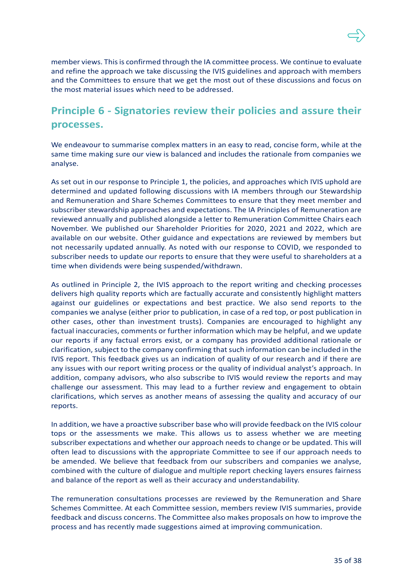

member views. This is confirmed through the IA committee process. We continue to evaluate and refine the approach we take discussing the IVIS guidelines and approach with members and the Committees to ensure that we get the most out of these discussions and focus on the most material issues which need to be addressed.

# **Principle 6 - Signatories review their policies and assure their processes.**

We endeavour to summarise complex matters in an easy to read, concise form, while at the same time making sure our view is balanced and includes the rationale from companies we analyse.

As set out in our response to Principle 1, the policies, and approaches which IVIS uphold are determined and updated following discussions with IA members through our Stewardship and Remuneration and Share Schemes Committees to ensure that they meet member and subscriber stewardship approaches and expectations. The IA Principles of Remuneration are reviewed annually and published alongside a letter to Remuneration Committee Chairs each November. We published our Shareholder Priorities for 2020, 2021 and 2022, which are available on our website. Other guidance and expectations are reviewed by members but not necessarily updated annually. As noted with our response to COVID, we responded to subscriber needs to update our reports to ensure that they were useful to shareholders at a time when dividends were being suspended/withdrawn.

As outlined in Principle 2, the IVIS approach to the report writing and checking processes delivers high quality reports which are factually accurate and consistently highlight matters against our guidelines or expectations and best practice. We also send reports to the companies we analyse (either prior to publication, in case of a red top, or post publication in other cases, other than investment trusts). Companies are encouraged to highlight any factual inaccuracies, comments or further information which may be helpful, and we update our reports if any factual errors exist, or a company has provided additional rationale or clarification, subject to the company confirming that such information can be included in the IVIS report. This feedback gives us an indication of quality of our research and if there are any issues with our report writing process or the quality of individual analyst's approach. In addition, company advisors, who also subscribe to IVIS would review the reports and may challenge our assessment. This may lead to a further review and engagement to obtain clarifications, which serves as another means of assessing the quality and accuracy of our reports.

In addition, we have a proactive subscriber base who will provide feedback on the IVIS colour tops or the assessments we make. This allows us to assess whether we are meeting subscriber expectations and whether our approach needs to change or be updated. This will often lead to discussions with the appropriate Committee to see if our approach needs to be amended. We believe that feedback from our subscribers and companies we analyse, combined with the culture of dialogue and multiple report checking layers ensures fairness and balance of the report as well as their accuracy and understandability.

The remuneration consultations processes are reviewed by the Remuneration and Share Schemes Committee. At each Committee session, members review IVIS summaries, provide feedback and discuss concerns. The Committee also makes proposals on how to improve the process and has recently made suggestions aimed at improving communication.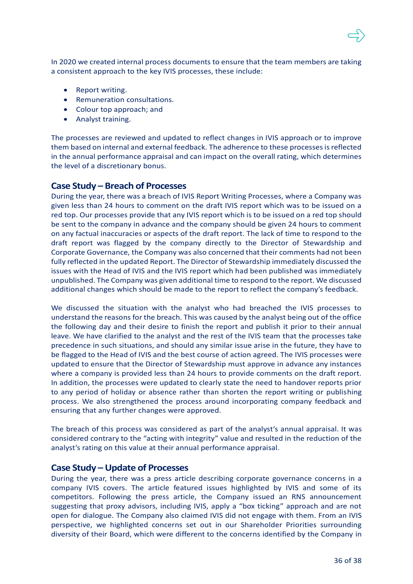In 2020 we created internal process documents to ensure that the team members are taking a consistent approach to the key IVIS processes, these include:

- Report writing.
- Remuneration consultations.
- Colour top approach; and
- Analyst training.

The processes are reviewed and updated to reflect changes in IVIS approach or to improve them based on internal and external feedback. The adherence to these processes is reflected in the annual performance appraisal and can impact on the overall rating, which determines the level of a discretionary bonus.

### **Case Study – Breach of Processes**

During the year, there was a breach of IVIS Report Writing Processes, where a Company was given less than 24 hours to comment on the draft IVIS report which was to be issued on a red top. Our processes provide that any IVIS report which is to be issued on a red top should be sent to the company in advance and the company should be given 24 hours to comment on any factual inaccuracies or aspects of the draft report. The lack of time to respond to the draft report was flagged by the company directly to the Director of Stewardship and Corporate Governance, the Company was also concerned that their comments had not been fully reflected in the updated Report. The Director of Stewardship immediately discussed the issues with the Head of IVIS and the IVIS report which had been published was immediately unpublished. The Company was given additional time to respond to the report. We discussed additional changes which should be made to the report to reflect the company's feedback.

We discussed the situation with the analyst who had breached the IVIS processes to understand the reasons for the breach. This was caused by the analyst being out of the office the following day and their desire to finish the report and publish it prior to their annual leave. We have clarified to the analyst and the rest of the IVIS team that the processes take precedence in such situations, and should any similar issue arise in the future, they have to be flagged to the Head of IVIS and the best course of action agreed. The IVIS processes were updated to ensure that the Director of Stewardship must approve in advance any instances where a company is provided less than 24 hours to provide comments on the draft report. In addition, the processes were updated to clearly state the need to handover reports prior to any period of holiday or absence rather than shorten the report writing or publishing process. We also strengthened the process around incorporating company feedback and ensuring that any further changes were approved.

The breach of this process was considered as part of the analyst's annual appraisal. It was considered contrary to the "acting with integrity" value and resulted in the reduction of the analyst's rating on this value at their annual performance appraisal.

### **Case Study – Update of Processes**

During the year, there was a press article describing corporate governance concerns in a company IVIS covers. The article featured issues highlighted by IVIS and some of its competitors. Following the press article, the Company issued an RNS announcement suggesting that proxy advisors, including IVIS, apply a "box ticking" approach and are not open for dialogue. The Company also claimed IVIS did not engage with them. From an IVIS perspective, we highlighted concerns set out in our Shareholder Priorities surrounding diversity of their Board, which were different to the concerns identified by the Company in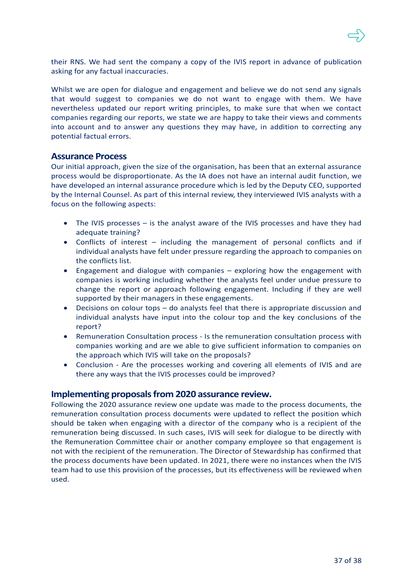

their RNS. We had sent the company a copy of the IVIS report in advance of publication asking for any factual inaccuracies.

Whilst we are open for dialogue and engagement and believe we do not send any signals that would suggest to companies we do not want to engage with them. We have nevertheless updated our report writing principles, to make sure that when we contact companies regarding our reports, we state we are happy to take their views and comments into account and to answer any questions they may have, in addition to correcting any potential factual errors.

### **Assurance Process**

Our initial approach, given the size of the organisation, has been that an external assurance process would be disproportionate. As the IA does not have an internal audit function, we have developed an internal assurance procedure which is led by the Deputy CEO, supported by the Internal Counsel. As part of this internal review, they interviewed IVIS analysts with a focus on the following aspects:

- The IVIS processes is the analyst aware of the IVIS processes and have they had adequate training?
- Conflicts of interest including the management of personal conflicts and if individual analysts have felt under pressure regarding the approach to companies on the conflicts list.
- Engagement and dialogue with companies exploring how the engagement with companies is working including whether the analysts feel under undue pressure to change the report or approach following engagement. Including if they are well supported by their managers in these engagements.
- Decisions on colour tops do analysts feel that there is appropriate discussion and individual analysts have input into the colour top and the key conclusions of the report?
- Remuneration Consultation process Is the remuneration consultation process with companies working and are we able to give sufficient information to companies on the approach which IVIS will take on the proposals?
- Conclusion Are the processes working and covering all elements of IVIS and are there any ways that the IVIS processes could be improved?

#### **Implementing proposals from 2020 assurance review.**

Following the 2020 assurance review one update was made to the process documents, the remuneration consultation process documents were updated to reflect the position which should be taken when engaging with a director of the company who is a recipient of the remuneration being discussed. In such cases, IVIS will seek for dialogue to be directly with the Remuneration Committee chair or another company employee so that engagement is not with the recipient of the remuneration. The Director of Stewardship has confirmed that the process documents have been updated. In 2021, there were no instances when the IVIS team had to use this provision of the processes, but its effectiveness will be reviewed when used.